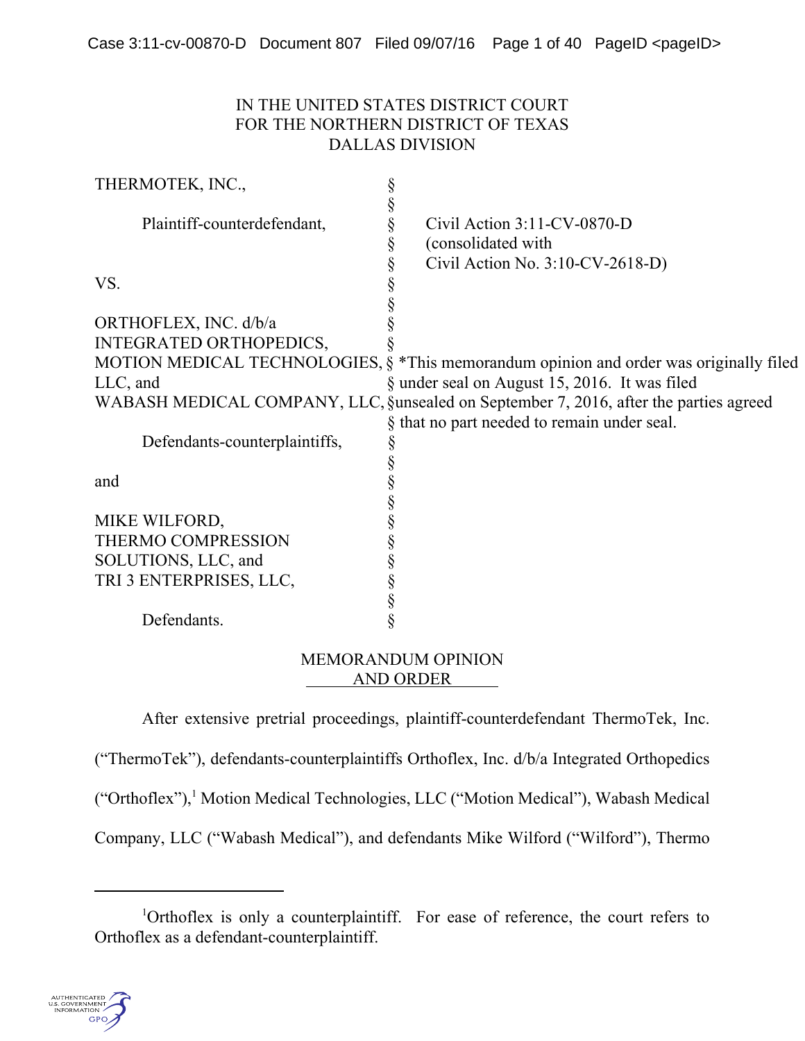## IN THE UNITED STATES DISTRICT COURT FOR THE NORTHERN DISTRICT OF TEXAS DALLAS DIVISION

| THERMOTEK, INC.,               |                                                                                        |
|--------------------------------|----------------------------------------------------------------------------------------|
|                                |                                                                                        |
| Plaintiff-counterdefendant,    | Civil Action $3:11$ -CV-0870-D<br>§                                                    |
|                                | (consolidated with<br>ş                                                                |
|                                | Civil Action No. 3:10-CV-2618-D)<br>§                                                  |
| VS.                            |                                                                                        |
|                                |                                                                                        |
| ORTHOFLEX, INC. d/b/a          |                                                                                        |
| <b>INTEGRATED ORTHOPEDICS,</b> |                                                                                        |
|                                | MOTION MEDICAL TECHNOLOGIES, § *This memorandum opinion and order was originally filed |
| $LLC$ , and                    | § under seal on August 15, 2016. It was filed                                          |
|                                | WABASH MEDICAL COMPANY, LLC, §unsealed on September 7, 2016, after the parties agreed  |
|                                | that no part needed to remain under seal.<br>Ş                                         |
| Defendants-counterplaintiffs,  |                                                                                        |
|                                |                                                                                        |
| and                            |                                                                                        |
|                                |                                                                                        |
| MIKE WILFORD,                  |                                                                                        |
| THERMO COMPRESSION             |                                                                                        |
| SOLUTIONS, LLC, and            |                                                                                        |
| TRI 3 ENTERPRISES, LLC,        |                                                                                        |
|                                | ş                                                                                      |
| Defendants.                    |                                                                                        |

## MEMORANDUM OPINION AND ORDER

After extensive pretrial proceedings, plaintiff-counterdefendant ThermoTek, Inc.

("ThermoTek"), defendants-counterplaintiffs Orthoflex, Inc. d/b/a Integrated Orthopedics

("Orthoflex"),<sup>1</sup> Motion Medical Technologies, LLC ("Motion Medical"), Wabash Medical

Company, LLC ("Wabash Medical"), and defendants Mike Wilford ("Wilford"), Thermo

<sup>&</sup>lt;sup>1</sup>Orthoflex is only a counterplaintiff. For ease of reference, the court refers to Orthoflex as a defendant-counterplaintiff.

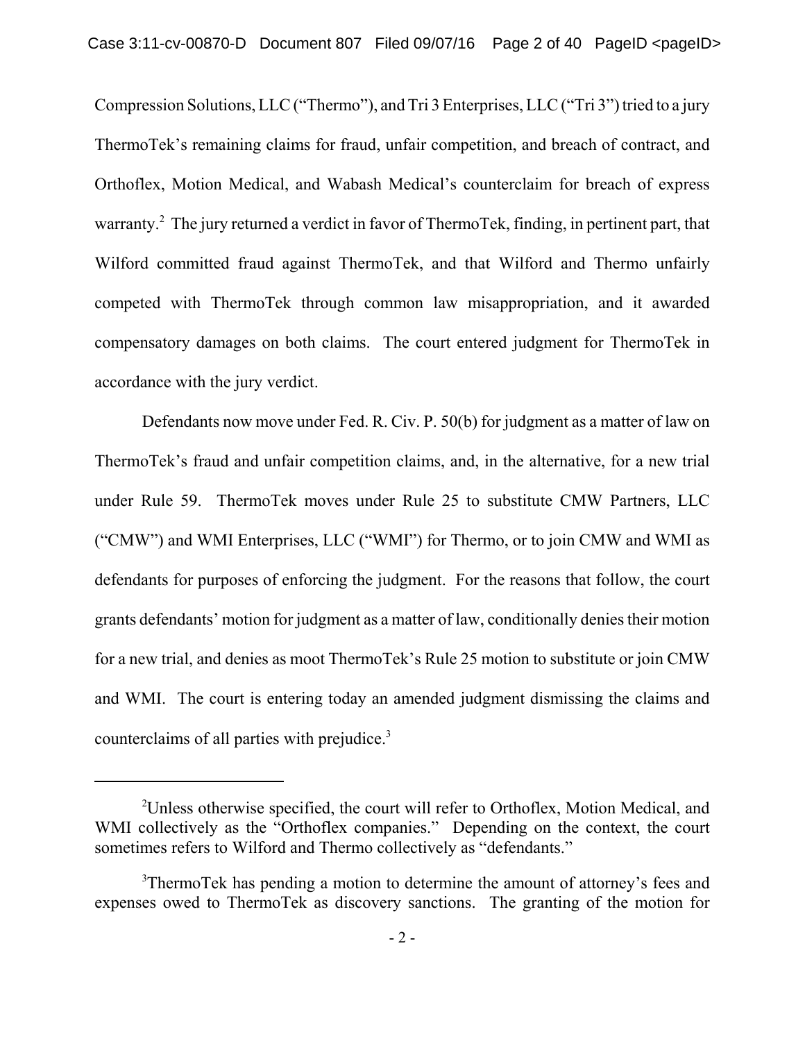Compression Solutions, LLC ("Thermo"), and Tri 3 Enterprises, LLC ("Tri 3") tried to a jury ThermoTek's remaining claims for fraud, unfair competition, and breach of contract, and Orthoflex, Motion Medical, and Wabash Medical's counterclaim for breach of express warranty.<sup>2</sup> The jury returned a verdict in favor of ThermoTek, finding, in pertinent part, that Wilford committed fraud against ThermoTek, and that Wilford and Thermo unfairly competed with ThermoTek through common law misappropriation, and it awarded compensatory damages on both claims. The court entered judgment for ThermoTek in accordance with the jury verdict.

Defendants now move under Fed. R. Civ. P. 50(b) for judgment as a matter of law on ThermoTek's fraud and unfair competition claims, and, in the alternative, for a new trial under Rule 59. ThermoTek moves under Rule 25 to substitute CMW Partners, LLC ("CMW") and WMI Enterprises, LLC ("WMI") for Thermo, or to join CMW and WMI as defendants for purposes of enforcing the judgment. For the reasons that follow, the court grants defendants' motion for judgment as a matter of law, conditionally denies their motion for a new trial, and denies as moot ThermoTek's Rule 25 motion to substitute or join CMW and WMI. The court is entering today an amended judgment dismissing the claims and counterclaims of all parties with prejudice.<sup>3</sup>

<sup>&</sup>lt;sup>2</sup>Unless otherwise specified, the court will refer to Orthoflex, Motion Medical, and WMI collectively as the "Orthoflex companies." Depending on the context, the court sometimes refers to Wilford and Thermo collectively as "defendants."

<sup>&</sup>lt;sup>3</sup>ThermoTek has pending a motion to determine the amount of attorney's fees and expenses owed to ThermoTek as discovery sanctions. The granting of the motion for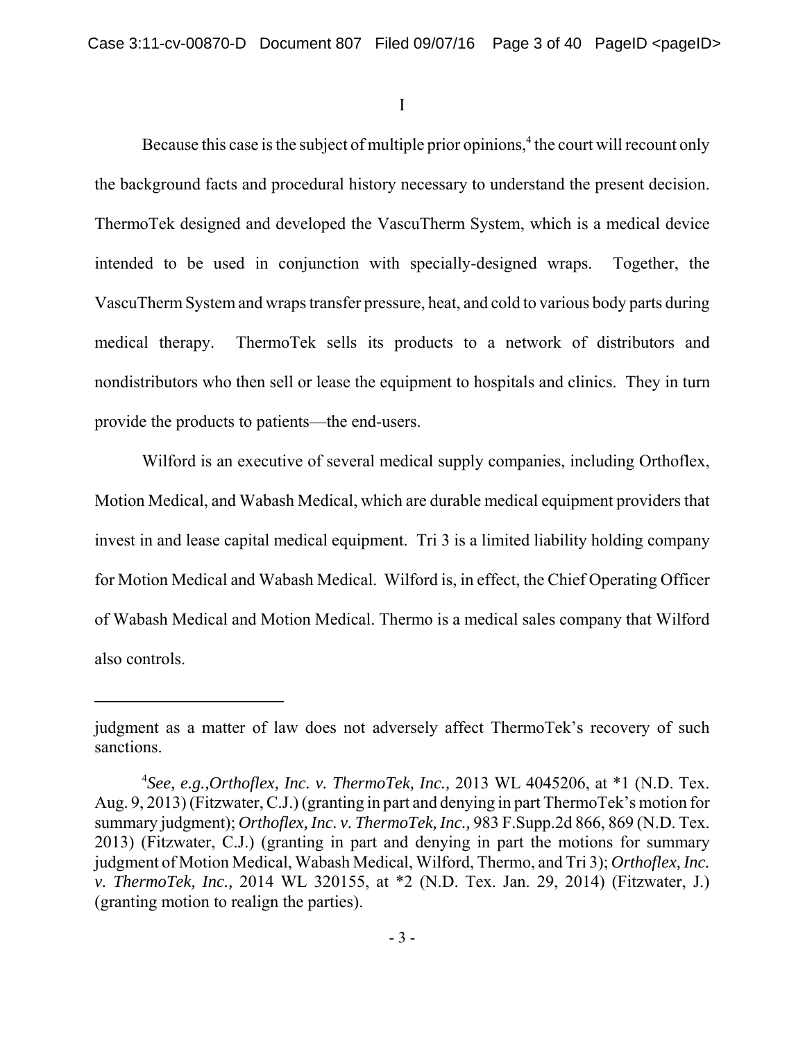I

Because this case is the subject of multiple prior opinions,<sup>4</sup> the court will recount only the background facts and procedural history necessary to understand the present decision. ThermoTek designed and developed the VascuTherm System, which is a medical device intended to be used in conjunction with specially-designed wraps. Together, the VascuTherm System and wraps transfer pressure, heat, and cold to various body parts during medical therapy. ThermoTek sells its products to a network of distributors and nondistributors who then sell or lease the equipment to hospitals and clinics. They in turn provide the products to patients—the end-users.

Wilford is an executive of several medical supply companies, including Orthoflex, Motion Medical, and Wabash Medical, which are durable medical equipment providers that invest in and lease capital medical equipment. Tri 3 is a limited liability holding company for Motion Medical and Wabash Medical. Wilford is, in effect, the Chief Operating Officer of Wabash Medical and Motion Medical. Thermo is a medical sales company that Wilford also controls.

judgment as a matter of law does not adversely affect ThermoTek's recovery of such sanctions.

<sup>4</sup> *See, e.g.,Orthoflex, Inc. v. ThermoTek, Inc.,* 2013 WL 4045206, at \*1 (N.D. Tex. Aug. 9, 2013) (Fitzwater, C.J.) (granting in part and denying in part ThermoTek's motion for summary judgment); *Orthoflex, Inc. v. ThermoTek, Inc.,* 983 F.Supp.2d 866, 869 (N.D. Tex. 2013) (Fitzwater, C.J.) (granting in part and denying in part the motions for summary judgment of Motion Medical, Wabash Medical, Wilford, Thermo, and Tri 3); *Orthoflex, Inc. v. ThermoTek, Inc.,* 2014 WL 320155, at \*2 (N.D. Tex. Jan. 29, 2014) (Fitzwater, J.) (granting motion to realign the parties).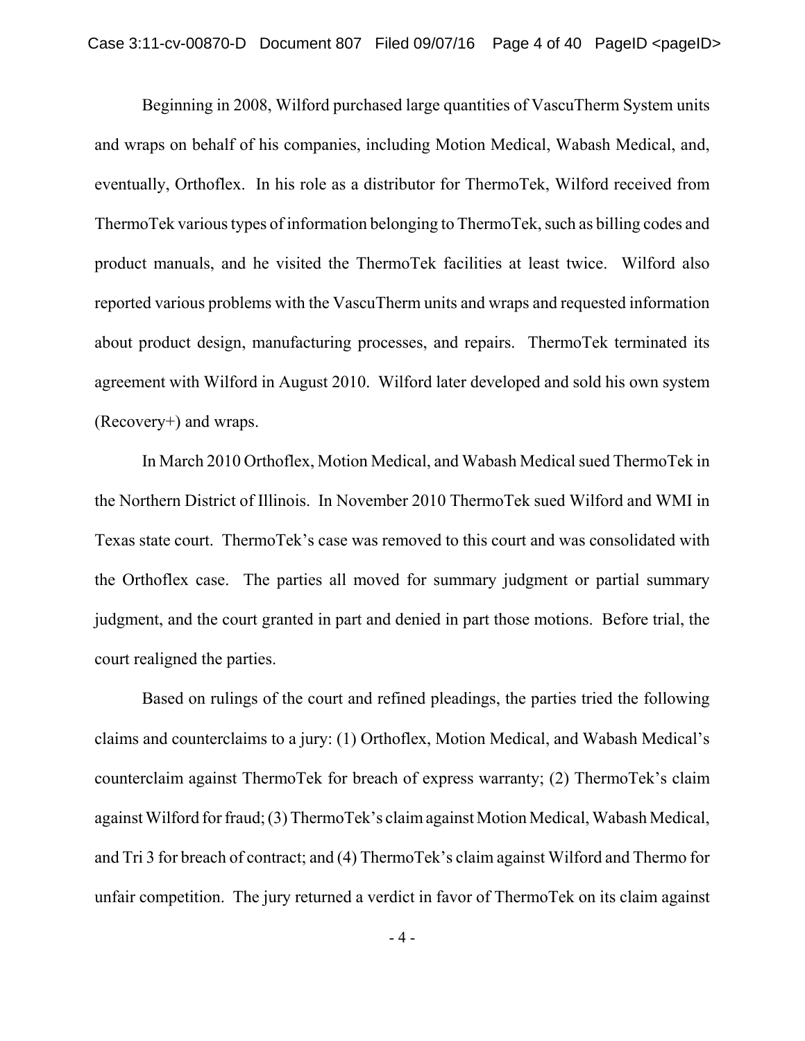Beginning in 2008, Wilford purchased large quantities of VascuTherm System units and wraps on behalf of his companies, including Motion Medical, Wabash Medical, and, eventually, Orthoflex. In his role as a distributor for ThermoTek, Wilford received from ThermoTek various types of information belonging to ThermoTek, such as billing codes and product manuals, and he visited the ThermoTek facilities at least twice. Wilford also reported various problems with the VascuTherm units and wraps and requested information about product design, manufacturing processes, and repairs. ThermoTek terminated its agreement with Wilford in August 2010. Wilford later developed and sold his own system (Recovery+) and wraps.

In March 2010 Orthoflex, Motion Medical, and Wabash Medical sued ThermoTek in the Northern District of Illinois. In November 2010 ThermoTek sued Wilford and WMI in Texas state court. ThermoTek's case was removed to this court and was consolidated with the Orthoflex case. The parties all moved for summary judgment or partial summary judgment, and the court granted in part and denied in part those motions. Before trial, the court realigned the parties.

Based on rulings of the court and refined pleadings, the parties tried the following claims and counterclaims to a jury: (1) Orthoflex, Motion Medical, and Wabash Medical's counterclaim against ThermoTek for breach of express warranty; (2) ThermoTek's claim against Wilford for fraud; (3) ThermoTek's claim against Motion Medical, Wabash Medical, and Tri 3 for breach of contract; and (4) ThermoTek's claim against Wilford and Thermo for unfair competition. The jury returned a verdict in favor of ThermoTek on its claim against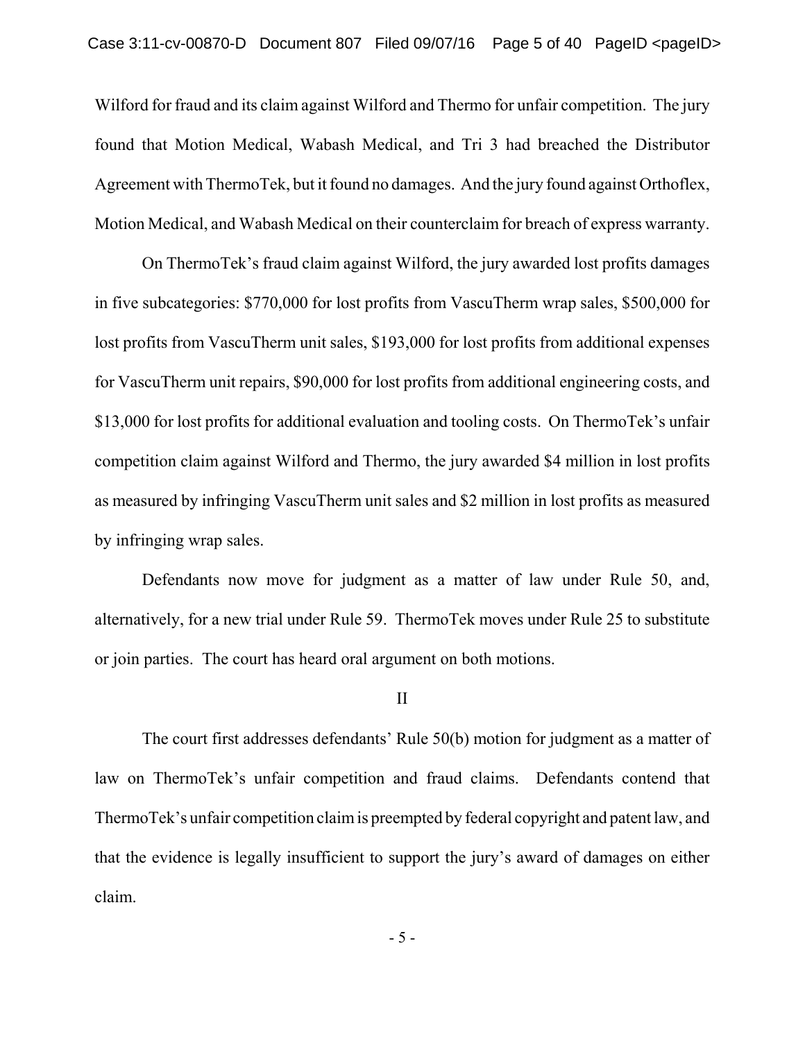Wilford for fraud and its claim against Wilford and Thermo for unfair competition. The jury found that Motion Medical, Wabash Medical, and Tri 3 had breached the Distributor Agreement with ThermoTek, but it found no damages. And the jury found against Orthoflex, Motion Medical, and Wabash Medical on their counterclaim for breach of express warranty.

On ThermoTek's fraud claim against Wilford, the jury awarded lost profits damages in five subcategories: \$770,000 for lost profits from VascuTherm wrap sales, \$500,000 for lost profits from VascuTherm unit sales, \$193,000 for lost profits from additional expenses for VascuTherm unit repairs, \$90,000 for lost profits from additional engineering costs, and \$13,000 for lost profits for additional evaluation and tooling costs. On ThermoTek's unfair competition claim against Wilford and Thermo, the jury awarded \$4 million in lost profits as measured by infringing VascuTherm unit sales and \$2 million in lost profits as measured by infringing wrap sales.

Defendants now move for judgment as a matter of law under Rule 50, and, alternatively, for a new trial under Rule 59. ThermoTek moves under Rule 25 to substitute or join parties. The court has heard oral argument on both motions.

#### II

The court first addresses defendants' Rule 50(b) motion for judgment as a matter of law on ThermoTek's unfair competition and fraud claims. Defendants contend that ThermoTek's unfair competition claim is preempted by federal copyright and patent law, and that the evidence is legally insufficient to support the jury's award of damages on either claim.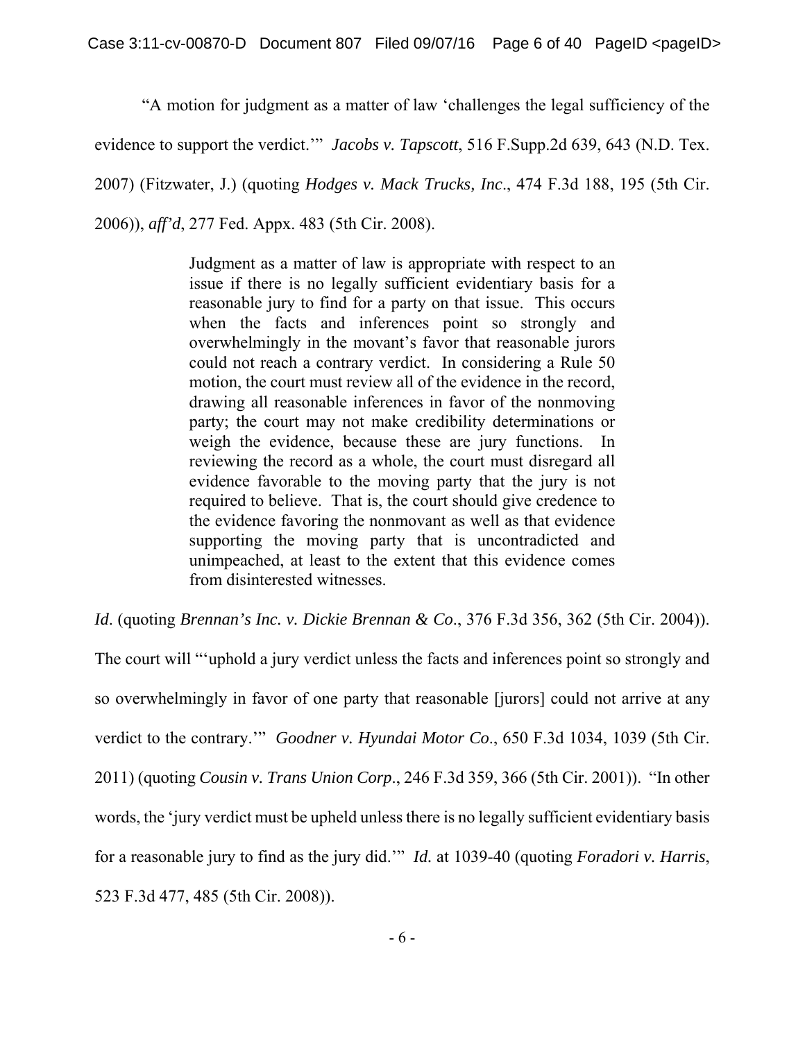"A motion for judgment as a matter of law 'challenges the legal sufficiency of the

evidence to support the verdict.'" *Jacobs v. Tapscott*, 516 F.Supp.2d 639, 643 (N.D. Tex.

2007) (Fitzwater, J.) (quoting *Hodges v. Mack Trucks, Inc*., 474 F.3d 188, 195 (5th Cir.

2006)), *aff'd*, 277 Fed. Appx. 483 (5th Cir. 2008).

Judgment as a matter of law is appropriate with respect to an issue if there is no legally sufficient evidentiary basis for a reasonable jury to find for a party on that issue. This occurs when the facts and inferences point so strongly and overwhelmingly in the movant's favor that reasonable jurors could not reach a contrary verdict. In considering a Rule 50 motion, the court must review all of the evidence in the record, drawing all reasonable inferences in favor of the nonmoving party; the court may not make credibility determinations or weigh the evidence, because these are jury functions. In reviewing the record as a whole, the court must disregard all evidence favorable to the moving party that the jury is not required to believe. That is, the court should give credence to the evidence favoring the nonmovant as well as that evidence supporting the moving party that is uncontradicted and unimpeached, at least to the extent that this evidence comes from disinterested witnesses.

*Id*. (quoting *Brennan's Inc. v. Dickie Brennan & Co*., 376 F.3d 356, 362 (5th Cir. 2004)).

The court will "'uphold a jury verdict unless the facts and inferences point so strongly and so overwhelmingly in favor of one party that reasonable [jurors] could not arrive at any verdict to the contrary.'" *Goodner v. Hyundai Motor Co*., 650 F.3d 1034, 1039 (5th Cir. 2011) (quoting *Cousin v. Trans Union Corp*., 246 F.3d 359, 366 (5th Cir. 2001)). "In other words, the 'jury verdict must be upheld unless there is no legally sufficient evidentiary basis for a reasonable jury to find as the jury did.'" *Id.* at 1039-40 (quoting *Foradori v. Harris*, 523 F.3d 477, 485 (5th Cir. 2008)).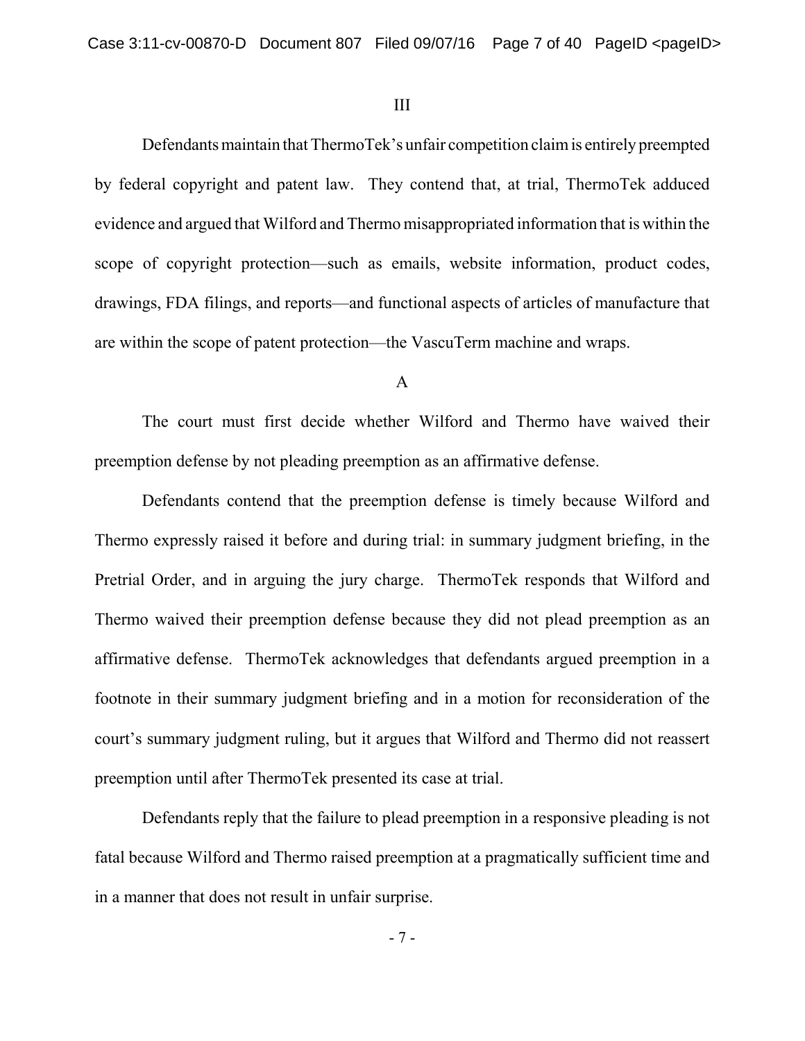### III

Defendants maintain that ThermoTek's unfair competition claim is entirely preempted by federal copyright and patent law. They contend that, at trial, ThermoTek adduced evidence and argued that Wilford and Thermo misappropriated information that is within the scope of copyright protection—such as emails, website information, product codes, drawings, FDA filings, and reports—and functional aspects of articles of manufacture that are within the scope of patent protection—the VascuTerm machine and wraps.

### A

The court must first decide whether Wilford and Thermo have waived their preemption defense by not pleading preemption as an affirmative defense.

Defendants contend that the preemption defense is timely because Wilford and Thermo expressly raised it before and during trial: in summary judgment briefing, in the Pretrial Order, and in arguing the jury charge. ThermoTek responds that Wilford and Thermo waived their preemption defense because they did not plead preemption as an affirmative defense. ThermoTek acknowledges that defendants argued preemption in a footnote in their summary judgment briefing and in a motion for reconsideration of the court's summary judgment ruling, but it argues that Wilford and Thermo did not reassert preemption until after ThermoTek presented its case at trial.

Defendants reply that the failure to plead preemption in a responsive pleading is not fatal because Wilford and Thermo raised preemption at a pragmatically sufficient time and in a manner that does not result in unfair surprise.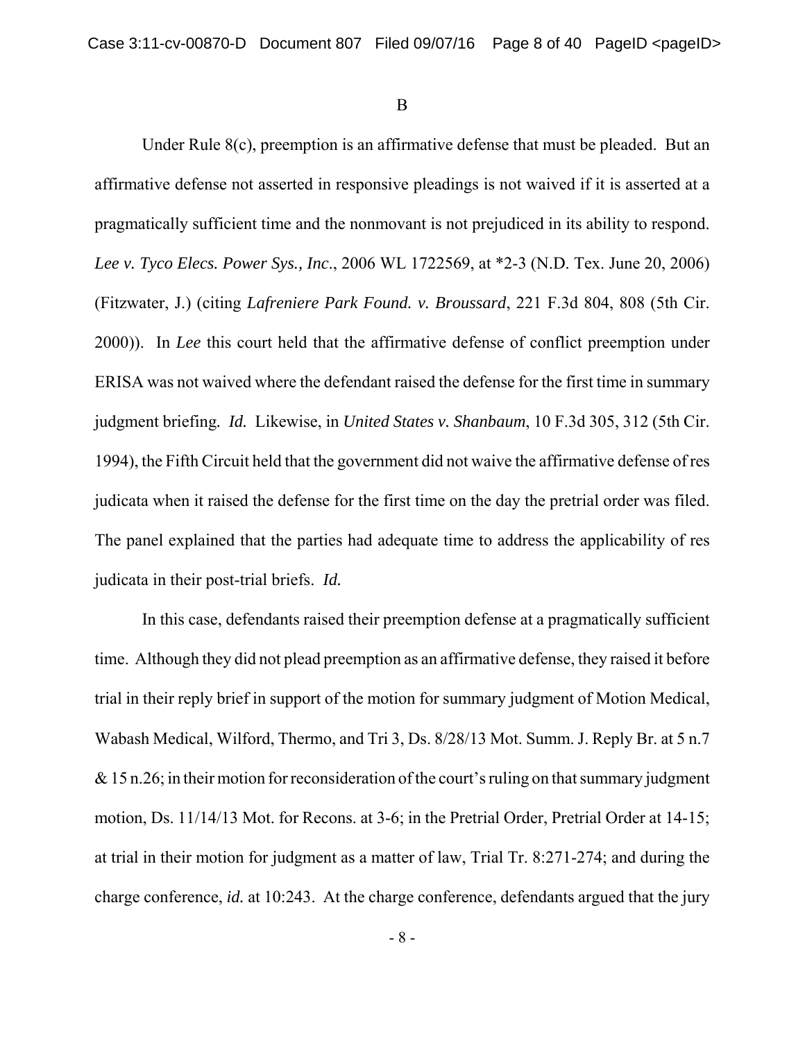B

Under Rule 8(c), preemption is an affirmative defense that must be pleaded. But an affirmative defense not asserted in responsive pleadings is not waived if it is asserted at a pragmatically sufficient time and the nonmovant is not prejudiced in its ability to respond. *Lee v. Tyco Elecs. Power Sys., Inc*., 2006 WL 1722569, at \*2-3 (N.D. Tex. June 20, 2006) (Fitzwater, J.) (citing *Lafreniere Park Found. v. Broussard*, 221 F.3d 804, 808 (5th Cir. 2000)). In *Lee* this court held that the affirmative defense of conflict preemption under ERISA was not waived where the defendant raised the defense for the first time in summary judgment briefing*. Id.* Likewise, in *United States v. Shanbaum*, 10 F.3d 305, 312 (5th Cir. 1994), the Fifth Circuit held that the government did not waive the affirmative defense of res judicata when it raised the defense for the first time on the day the pretrial order was filed. The panel explained that the parties had adequate time to address the applicability of res judicata in their post-trial briefs. *Id.*

In this case, defendants raised their preemption defense at a pragmatically sufficient time. Although they did not plead preemption as an affirmative defense, they raised it before trial in their reply brief in support of the motion for summary judgment of Motion Medical, Wabash Medical, Wilford, Thermo, and Tri 3, Ds. 8/28/13 Mot. Summ. J. Reply Br. at 5 n.7  $& 15$  n.26; in their motion for reconsideration of the court's ruling on that summary judgment motion, Ds. 11/14/13 Mot. for Recons. at 3-6; in the Pretrial Order, Pretrial Order at 14-15; at trial in their motion for judgment as a matter of law, Trial Tr. 8:271-274; and during the charge conference, *id.* at 10:243. At the charge conference, defendants argued that the jury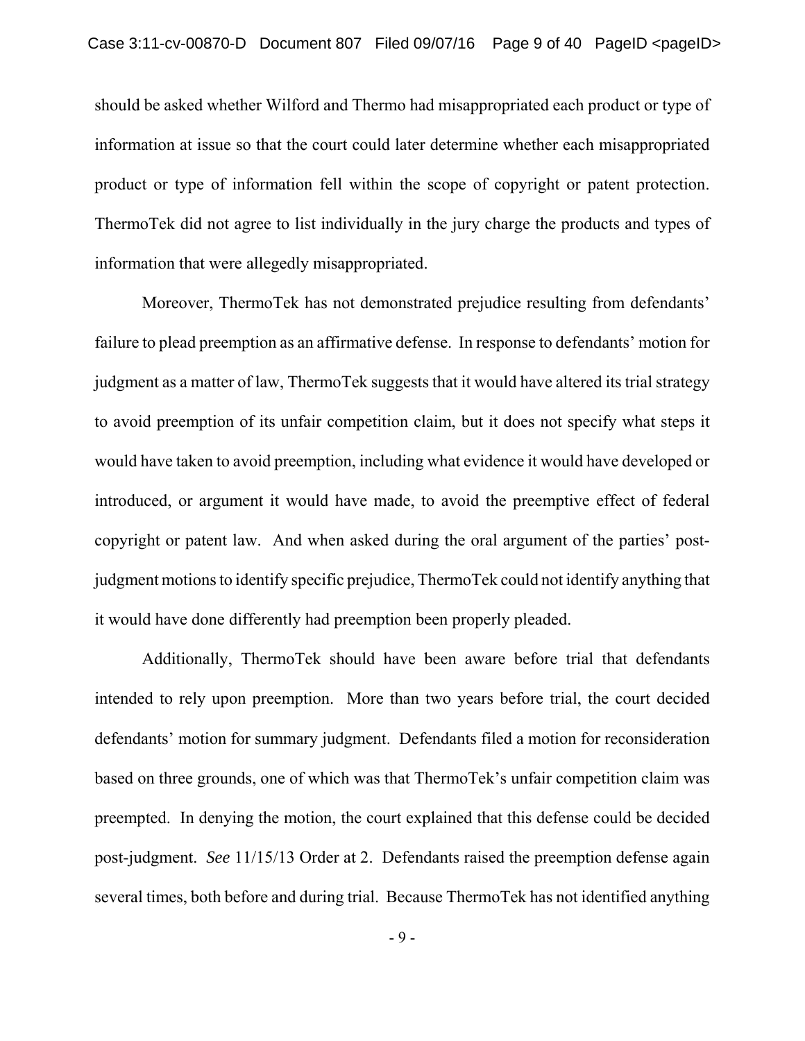should be asked whether Wilford and Thermo had misappropriated each product or type of information at issue so that the court could later determine whether each misappropriated product or type of information fell within the scope of copyright or patent protection. ThermoTek did not agree to list individually in the jury charge the products and types of information that were allegedly misappropriated.

Moreover, ThermoTek has not demonstrated prejudice resulting from defendants' failure to plead preemption as an affirmative defense. In response to defendants' motion for judgment as a matter of law, ThermoTek suggests that it would have altered its trial strategy to avoid preemption of its unfair competition claim, but it does not specify what steps it would have taken to avoid preemption, including what evidence it would have developed or introduced, or argument it would have made, to avoid the preemptive effect of federal copyright or patent law. And when asked during the oral argument of the parties' postjudgment motions to identify specific prejudice, ThermoTek could not identify anything that it would have done differently had preemption been properly pleaded.

Additionally, ThermoTek should have been aware before trial that defendants intended to rely upon preemption. More than two years before trial, the court decided defendants' motion for summary judgment. Defendants filed a motion for reconsideration based on three grounds, one of which was that ThermoTek's unfair competition claim was preempted. In denying the motion, the court explained that this defense could be decided post-judgment. *See* 11/15/13 Order at 2. Defendants raised the preemption defense again several times, both before and during trial. Because ThermoTek has not identified anything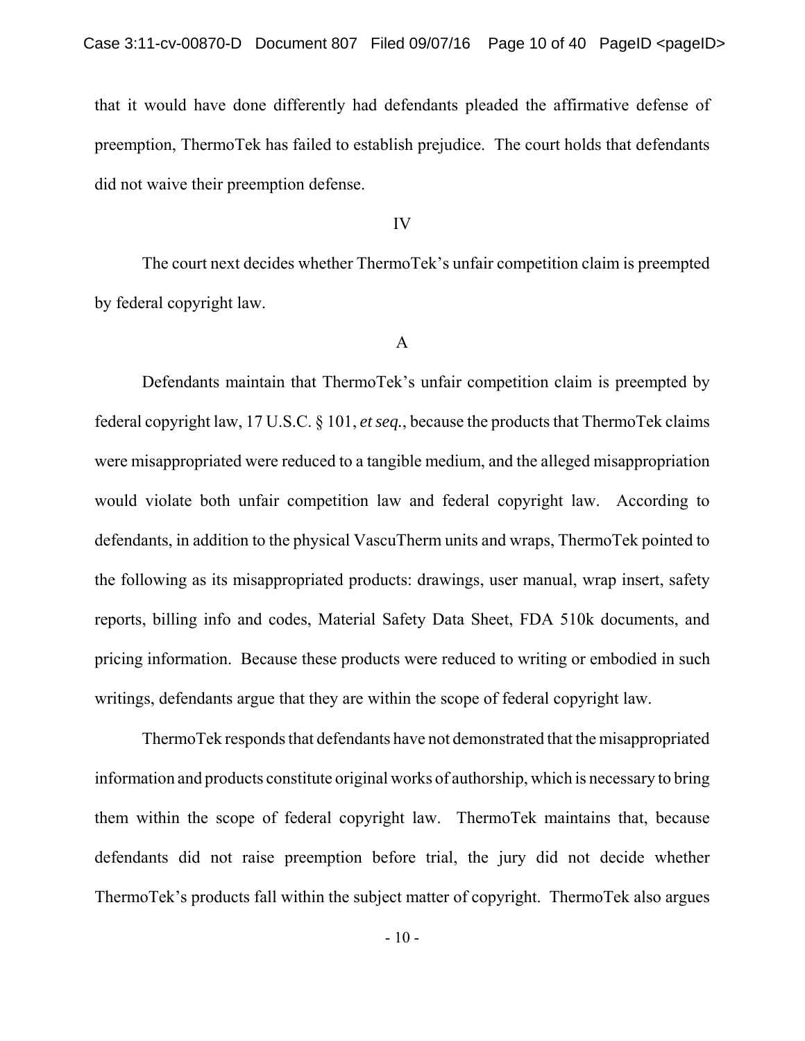that it would have done differently had defendants pleaded the affirmative defense of preemption, ThermoTek has failed to establish prejudice. The court holds that defendants did not waive their preemption defense.

IV

The court next decides whether ThermoTek's unfair competition claim is preempted by federal copyright law.

## A

Defendants maintain that ThermoTek's unfair competition claim is preempted by federal copyright law, 17 U.S.C. § 101, *et seq.*, because the products that ThermoTek claims were misappropriated were reduced to a tangible medium, and the alleged misappropriation would violate both unfair competition law and federal copyright law. According to defendants, in addition to the physical VascuTherm units and wraps, ThermoTek pointed to the following as its misappropriated products: drawings, user manual, wrap insert, safety reports, billing info and codes, Material Safety Data Sheet, FDA 510k documents, and pricing information. Because these products were reduced to writing or embodied in such writings, defendants argue that they are within the scope of federal copyright law.

ThermoTek responds that defendants have not demonstrated that the misappropriated information and products constitute original works of authorship, which is necessary to bring them within the scope of federal copyright law. ThermoTek maintains that, because defendants did not raise preemption before trial, the jury did not decide whether ThermoTek's products fall within the subject matter of copyright. ThermoTek also argues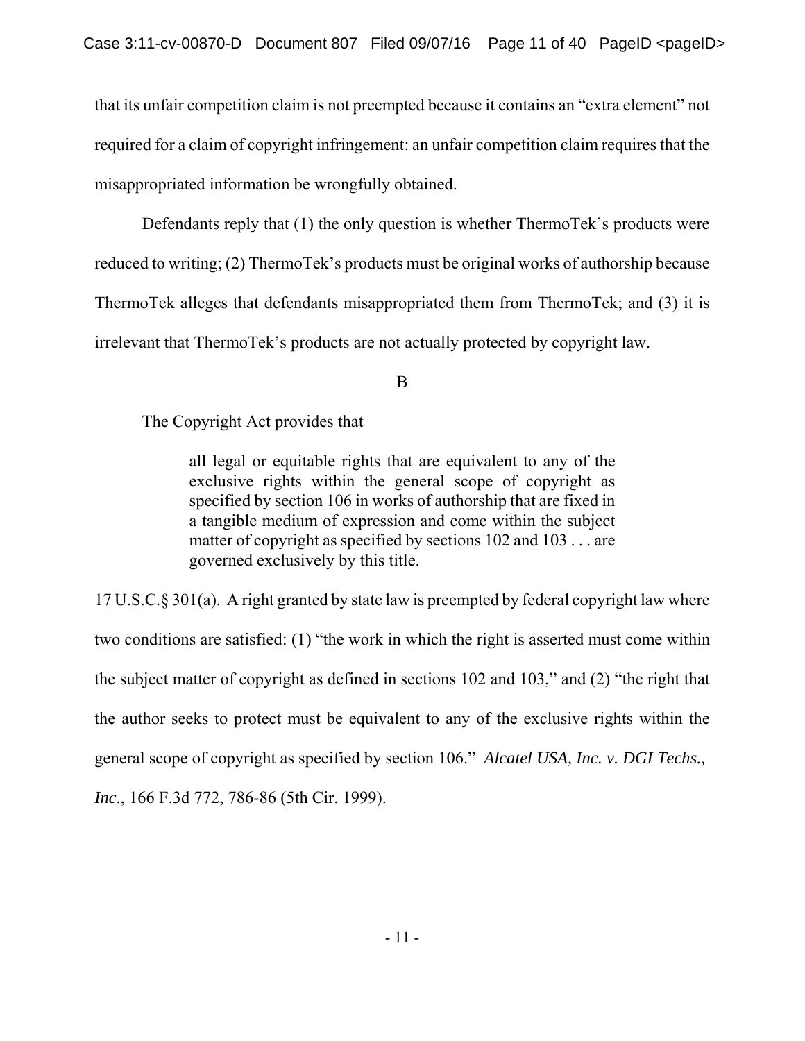that its unfair competition claim is not preempted because it contains an "extra element" not required for a claim of copyright infringement: an unfair competition claim requires that the misappropriated information be wrongfully obtained.

Defendants reply that (1) the only question is whether ThermoTek's products were reduced to writing; (2) ThermoTek's products must be original works of authorship because ThermoTek alleges that defendants misappropriated them from ThermoTek; and (3) it is irrelevant that ThermoTek's products are not actually protected by copyright law.

B

The Copyright Act provides that

all legal or equitable rights that are equivalent to any of the exclusive rights within the general scope of copyright as specified by section 106 in works of authorship that are fixed in a tangible medium of expression and come within the subject matter of copyright as specified by sections 102 and 103 . . . are governed exclusively by this title.

17 U.S.C.§ 301(a). A right granted by state law is preempted by federal copyright law where two conditions are satisfied: (1) "the work in which the right is asserted must come within the subject matter of copyright as defined in sections 102 and 103," and (2) "the right that the author seeks to protect must be equivalent to any of the exclusive rights within the general scope of copyright as specified by section 106." *Alcatel USA, Inc. v. DGI Techs., Inc*., 166 F.3d 772, 786-86 (5th Cir. 1999).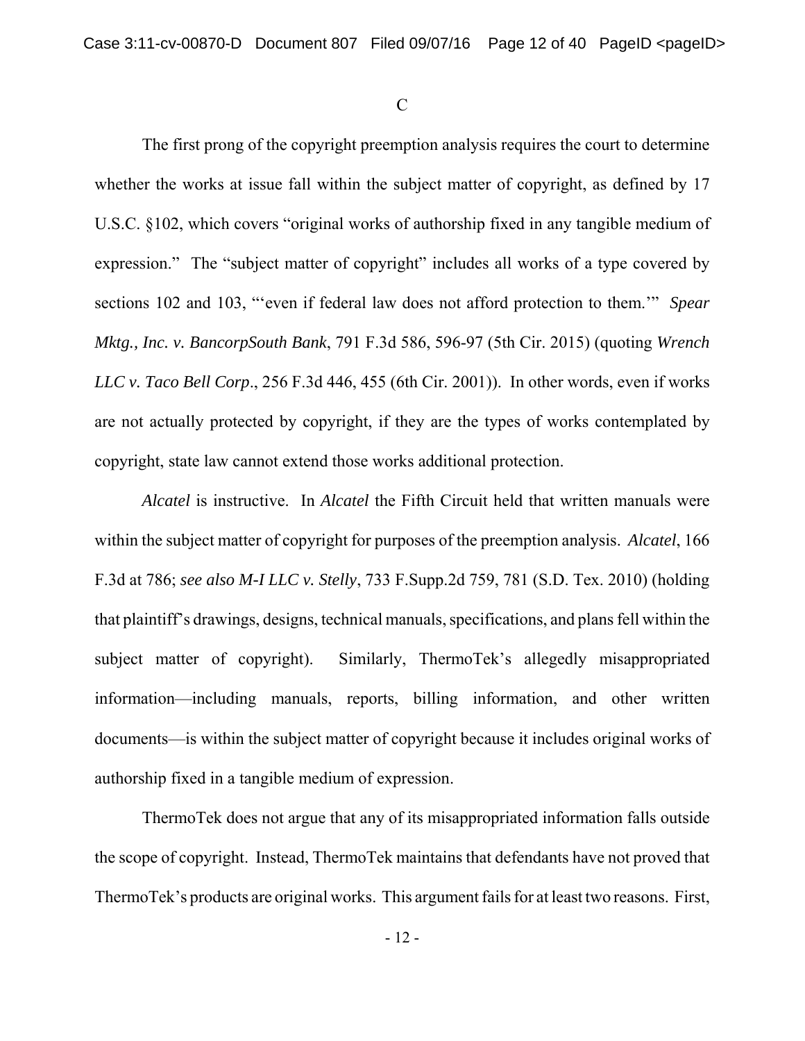C

The first prong of the copyright preemption analysis requires the court to determine whether the works at issue fall within the subject matter of copyright, as defined by 17 U.S.C. §102, which covers "original works of authorship fixed in any tangible medium of expression." The "subject matter of copyright" includes all works of a type covered by sections 102 and 103, "'even if federal law does not afford protection to them.'" *Spear Mktg., Inc. v. BancorpSouth Bank*, 791 F.3d 586, 596-97 (5th Cir. 2015) (quoting *Wrench LLC v. Taco Bell Corp*., 256 F.3d 446, 455 (6th Cir. 2001)). In other words, even if works are not actually protected by copyright, if they are the types of works contemplated by copyright, state law cannot extend those works additional protection.

*Alcatel* is instructive. In *Alcatel* the Fifth Circuit held that written manuals were within the subject matter of copyright for purposes of the preemption analysis. *Alcatel*, 166 F.3d at 786; *see also M-I LLC v. Stelly*, 733 F.Supp.2d 759, 781 (S.D. Tex. 2010) (holding that plaintiff's drawings, designs, technical manuals, specifications, and plans fell within the subject matter of copyright). Similarly, ThermoTek's allegedly misappropriated information—including manuals, reports, billing information, and other written documents—is within the subject matter of copyright because it includes original works of authorship fixed in a tangible medium of expression.

ThermoTek does not argue that any of its misappropriated information falls outside the scope of copyright. Instead, ThermoTek maintains that defendants have not proved that ThermoTek's products are original works. This argument fails for at least two reasons. First,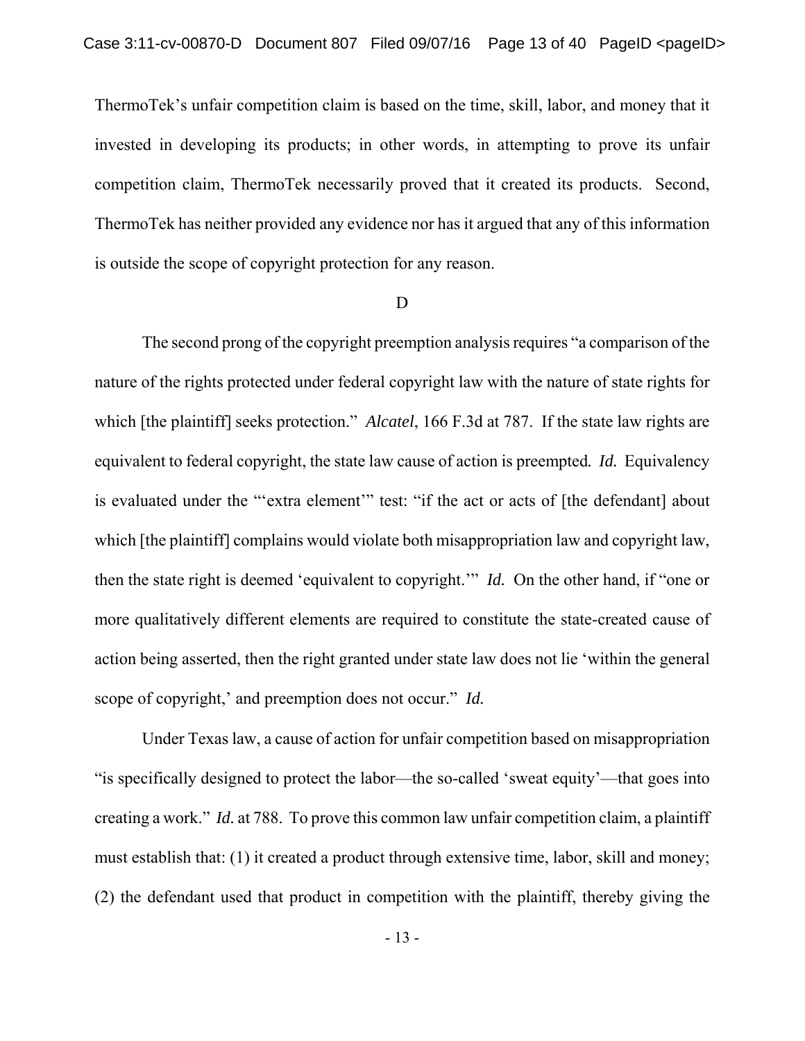ThermoTek's unfair competition claim is based on the time, skill, labor, and money that it invested in developing its products; in other words, in attempting to prove its unfair competition claim, ThermoTek necessarily proved that it created its products. Second, ThermoTek has neither provided any evidence nor has it argued that any of this information is outside the scope of copyright protection for any reason.

#### D

The second prong of the copyright preemption analysis requires "a comparison of the nature of the rights protected under federal copyright law with the nature of state rights for which [the plaintiff] seeks protection." *Alcatel*, 166 F.3d at 787. If the state law rights are equivalent to federal copyright, the state law cause of action is preempted*. Id.* Equivalency is evaluated under the "'extra element'" test: "if the act or acts of [the defendant] about which [the plaintiff] complains would violate both misappropriation law and copyright law, then the state right is deemed 'equivalent to copyright.'" *Id.* On the other hand, if "one or more qualitatively different elements are required to constitute the state-created cause of action being asserted, then the right granted under state law does not lie 'within the general scope of copyright,' and preemption does not occur." *Id.*

Under Texas law, a cause of action for unfair competition based on misappropriation "is specifically designed to protect the labor—the so-called 'sweat equity'—that goes into creating a work." *Id.* at 788. To prove this common law unfair competition claim, a plaintiff must establish that: (1) it created a product through extensive time, labor, skill and money; (2) the defendant used that product in competition with the plaintiff, thereby giving the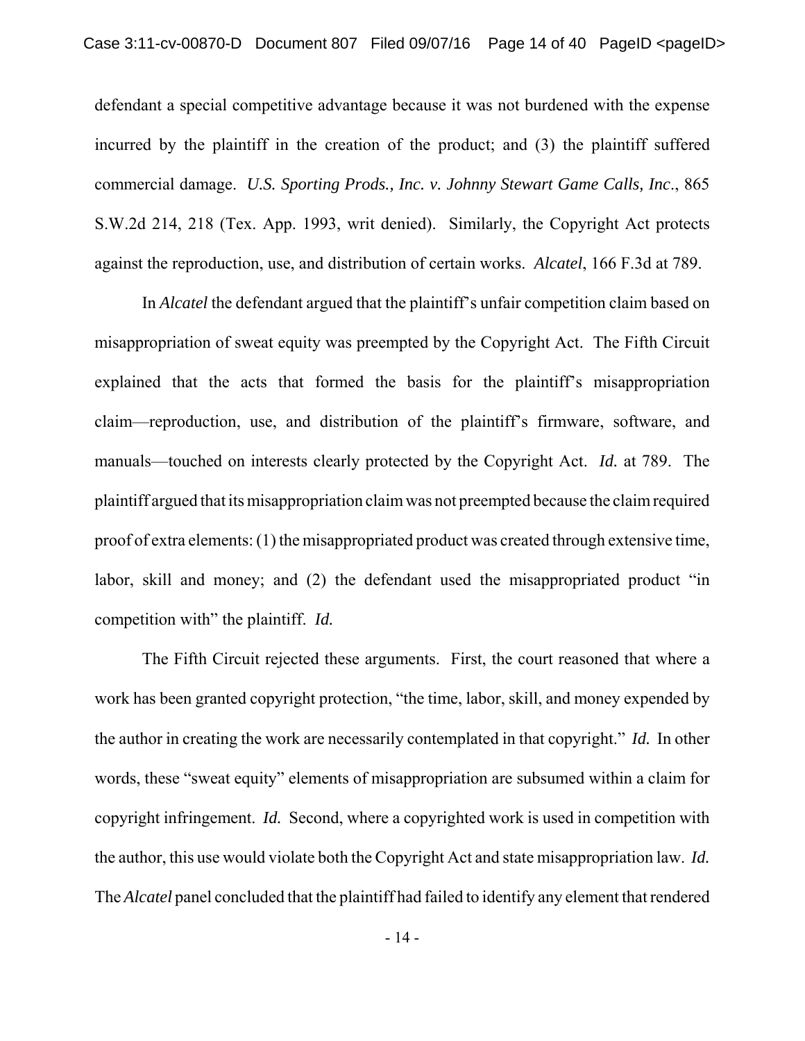defendant a special competitive advantage because it was not burdened with the expense incurred by the plaintiff in the creation of the product; and (3) the plaintiff suffered commercial damage. *U.S. Sporting Prods., Inc. v. Johnny Stewart Game Calls, Inc*., 865 S.W.2d 214, 218 (Tex. App. 1993, writ denied). Similarly, the Copyright Act protects against the reproduction, use, and distribution of certain works. *Alcatel*, 166 F.3d at 789.

In *Alcatel* the defendant argued that the plaintiff's unfair competition claim based on misappropriation of sweat equity was preempted by the Copyright Act. The Fifth Circuit explained that the acts that formed the basis for the plaintiff's misappropriation claim—reproduction, use, and distribution of the plaintiff's firmware, software, and manuals—touched on interests clearly protected by the Copyright Act. *Id.* at 789. The plaintiff argued that its misappropriation claim was not preempted because the claim required proof of extra elements: (1) the misappropriated product was created through extensive time, labor, skill and money; and (2) the defendant used the misappropriated product "in competition with" the plaintiff. *Id.*

The Fifth Circuit rejected these arguments. First, the court reasoned that where a work has been granted copyright protection, "the time, labor, skill, and money expended by the author in creating the work are necessarily contemplated in that copyright." *Id.* In other words, these "sweat equity" elements of misappropriation are subsumed within a claim for copyright infringement. *Id.* Second, where a copyrighted work is used in competition with the author, this use would violate both the Copyright Act and state misappropriation law. *Id.* The *Alcatel* panel concluded that the plaintiff had failed to identify any element that rendered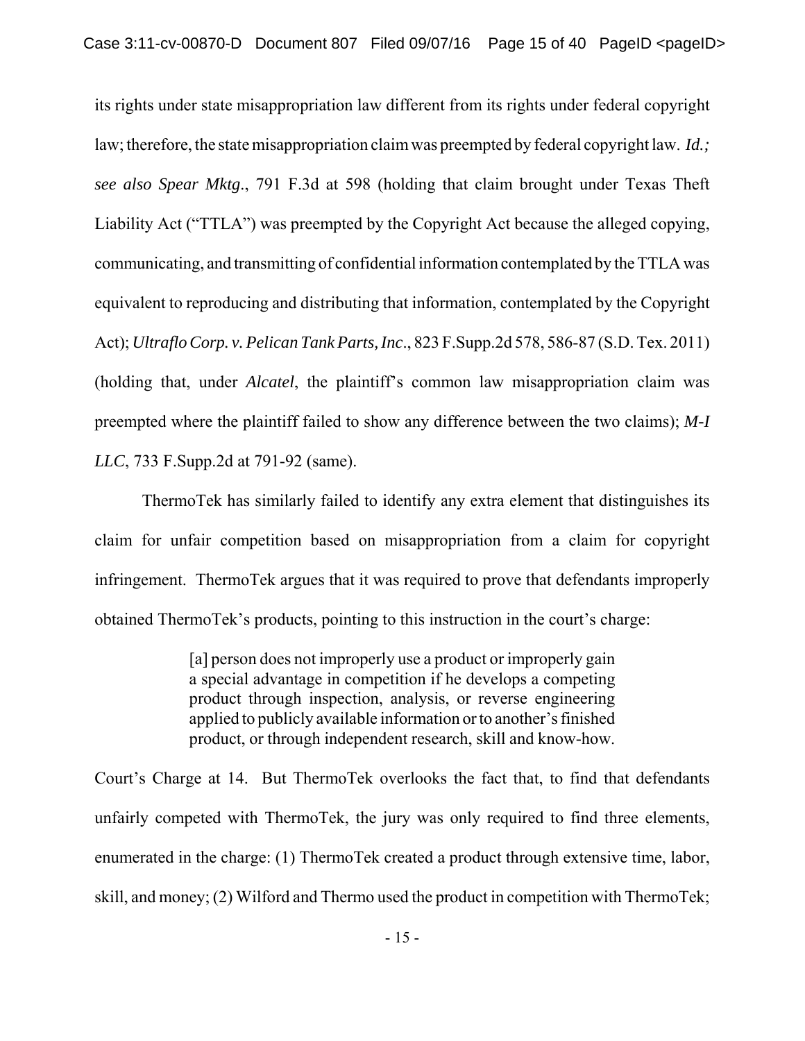its rights under state misappropriation law different from its rights under federal copyright law; therefore, the state misappropriation claim was preempted by federal copyright law. *Id.; see also Spear Mktg*., 791 F.3d at 598 (holding that claim brought under Texas Theft Liability Act ("TTLA") was preempted by the Copyright Act because the alleged copying, communicating, and transmitting of confidential information contemplated by the TTLA was equivalent to reproducing and distributing that information, contemplated by the Copyright Act); *Ultraflo Corp. v. Pelican Tank Parts, Inc*., 823 F.Supp.2d 578, 586-87 (S.D. Tex. 2011) (holding that, under *Alcatel*, the plaintiff's common law misappropriation claim was preempted where the plaintiff failed to show any difference between the two claims); *M-I LLC*, 733 F.Supp.2d at 791-92 (same).

ThermoTek has similarly failed to identify any extra element that distinguishes its claim for unfair competition based on misappropriation from a claim for copyright infringement. ThermoTek argues that it was required to prove that defendants improperly obtained ThermoTek's products, pointing to this instruction in the court's charge:

> [a] person does not improperly use a product or improperly gain a special advantage in competition if he develops a competing product through inspection, analysis, or reverse engineering applied to publicly available information or to another's finished product, or through independent research, skill and know-how.

Court's Charge at 14. But ThermoTek overlooks the fact that, to find that defendants unfairly competed with ThermoTek, the jury was only required to find three elements, enumerated in the charge: (1) ThermoTek created a product through extensive time, labor, skill, and money; (2) Wilford and Thermo used the product in competition with ThermoTek;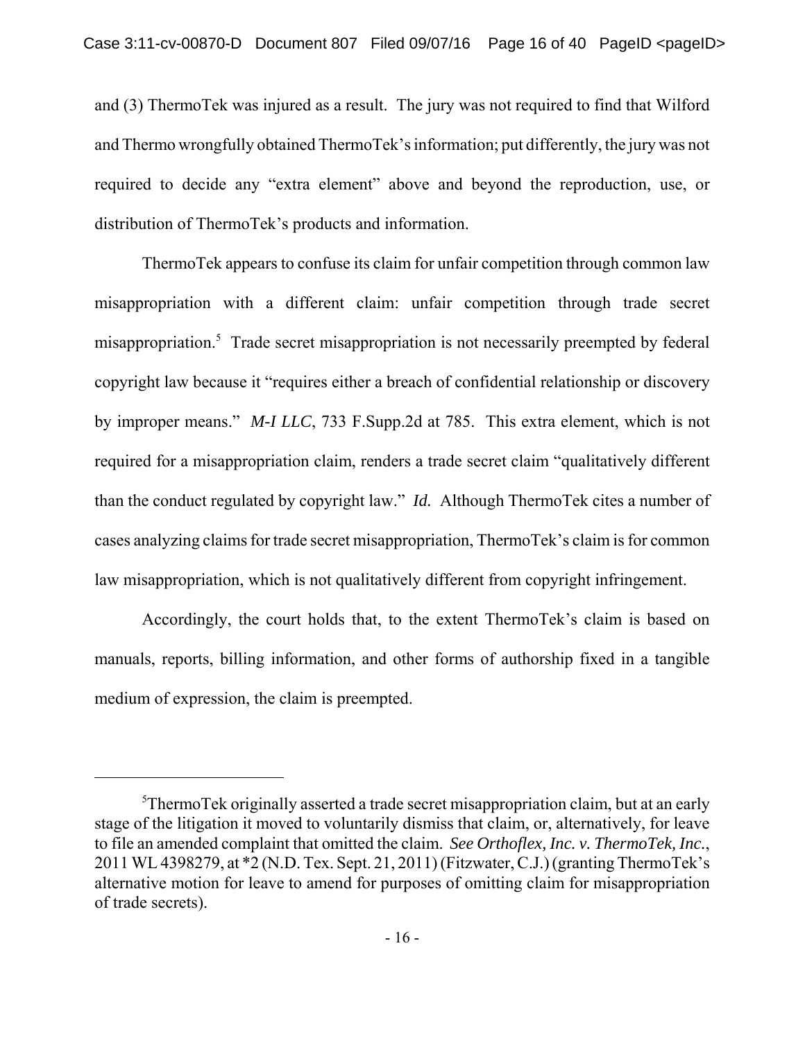and (3) ThermoTek was injured as a result. The jury was not required to find that Wilford and Thermo wrongfully obtained ThermoTek's information; put differently, the jury was not required to decide any "extra element" above and beyond the reproduction, use, or distribution of ThermoTek's products and information.

ThermoTek appears to confuse its claim for unfair competition through common law misappropriation with a different claim: unfair competition through trade secret misappropriation.<sup>5</sup> Trade secret misappropriation is not necessarily preempted by federal copyright law because it "requires either a breach of confidential relationship or discovery by improper means." *M-I LLC*, 733 F.Supp.2d at 785. This extra element, which is not required for a misappropriation claim, renders a trade secret claim "qualitatively different than the conduct regulated by copyright law." *Id.* Although ThermoTek cites a number of cases analyzing claims for trade secret misappropriation, ThermoTek's claim is for common law misappropriation, which is not qualitatively different from copyright infringement.

Accordingly, the court holds that, to the extent ThermoTek's claim is based on manuals, reports, billing information, and other forms of authorship fixed in a tangible medium of expression, the claim is preempted.

<sup>&</sup>lt;sup>5</sup>ThermoTek originally asserted a trade secret misappropriation claim, but at an early stage of the litigation it moved to voluntarily dismiss that claim, or, alternatively, for leave to file an amended complaint that omitted the claim. *See Orthoflex, Inc. v. ThermoTek, Inc.*, 2011 WL 4398279, at \*2 (N.D. Tex. Sept. 21, 2011) (Fitzwater, C.J.) (granting ThermoTek's alternative motion for leave to amend for purposes of omitting claim for misappropriation of trade secrets).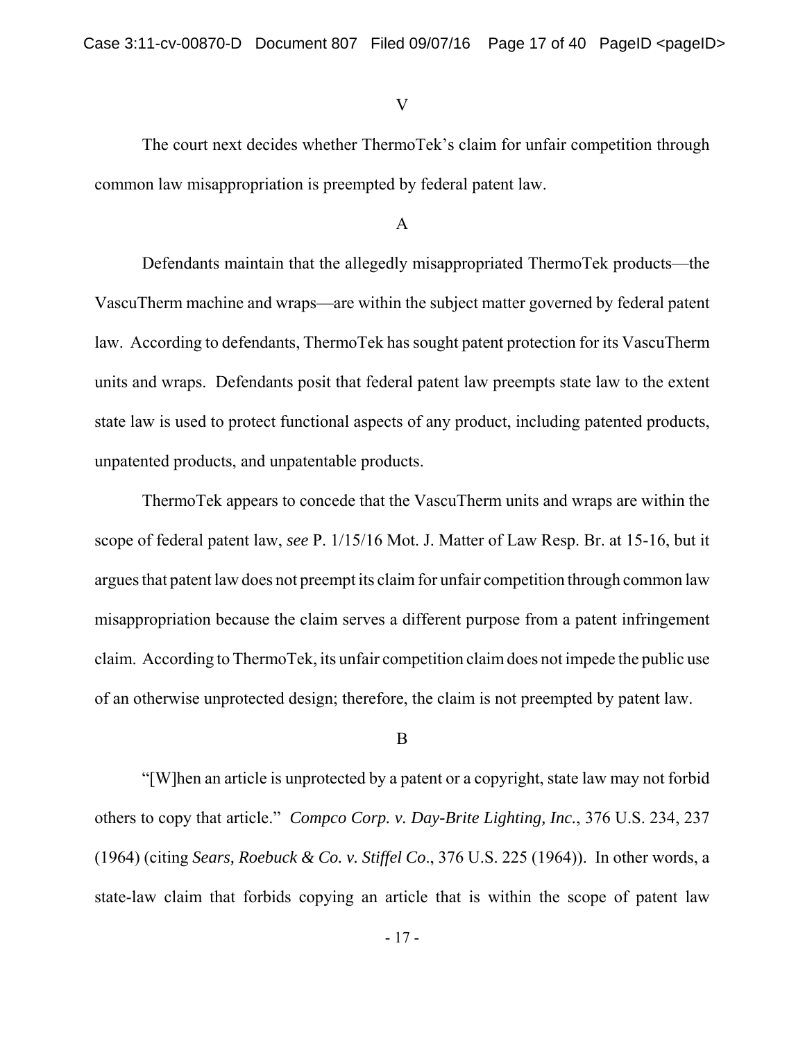### V

The court next decides whether ThermoTek's claim for unfair competition through common law misappropriation is preempted by federal patent law.

## A

Defendants maintain that the allegedly misappropriated ThermoTek products—the VascuTherm machine and wraps—are within the subject matter governed by federal patent law. According to defendants, ThermoTek has sought patent protection for its VascuTherm units and wraps. Defendants posit that federal patent law preempts state law to the extent state law is used to protect functional aspects of any product, including patented products, unpatented products, and unpatentable products.

ThermoTek appears to concede that the VascuTherm units and wraps are within the scope of federal patent law, *see* P. 1/15/16 Mot. J. Matter of Law Resp. Br. at 15-16, but it argues that patent law does not preempt its claim for unfair competition through common law misappropriation because the claim serves a different purpose from a patent infringement claim. According to ThermoTek, its unfair competition claim does not impede the public use of an otherwise unprotected design; therefore, the claim is not preempted by patent law.

### B

"[W]hen an article is unprotected by a patent or a copyright, state law may not forbid others to copy that article." *Compco Corp. v. Day-Brite Lighting, Inc.*, 376 U.S. 234, 237 (1964) (citing *Sears, Roebuck & Co. v. Stiffel Co*., 376 U.S. 225 (1964)). In other words, a state-law claim that forbids copying an article that is within the scope of patent law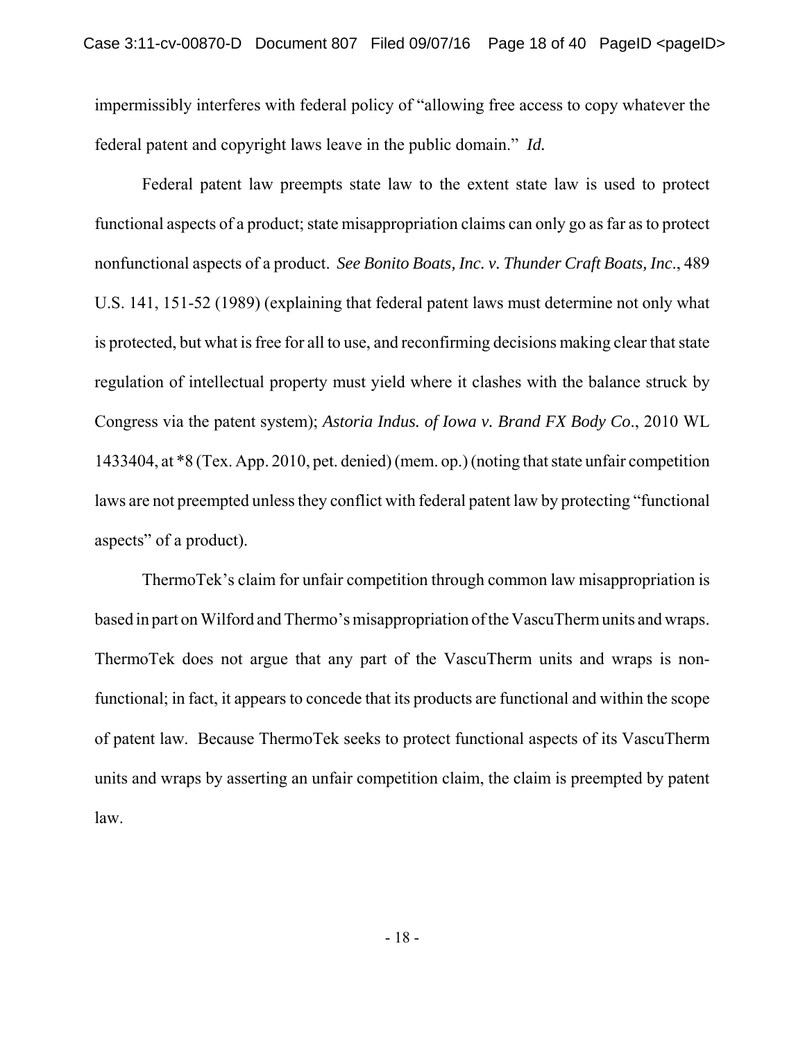impermissibly interferes with federal policy of "allowing free access to copy whatever the federal patent and copyright laws leave in the public domain." *Id.*

Federal patent law preempts state law to the extent state law is used to protect functional aspects of a product; state misappropriation claims can only go as far as to protect nonfunctional aspects of a product. *See Bonito Boats, Inc. v. Thunder Craft Boats, Inc*., 489 U.S. 141, 151-52 (1989) (explaining that federal patent laws must determine not only what is protected, but what is free for all to use, and reconfirming decisions making clear that state regulation of intellectual property must yield where it clashes with the balance struck by Congress via the patent system); *Astoria Indus. of Iowa v. Brand FX Body Co*., 2010 WL 1433404, at \*8 (Tex. App. 2010, pet. denied) (mem. op.) (noting that state unfair competition laws are not preempted unless they conflict with federal patent law by protecting "functional aspects" of a product).

ThermoTek's claim for unfair competition through common law misappropriation is based in part on Wilford and Thermo's misappropriation of the VascuTherm units and wraps. ThermoTek does not argue that any part of the VascuTherm units and wraps is nonfunctional; in fact, it appears to concede that its products are functional and within the scope of patent law. Because ThermoTek seeks to protect functional aspects of its VascuTherm units and wraps by asserting an unfair competition claim, the claim is preempted by patent law.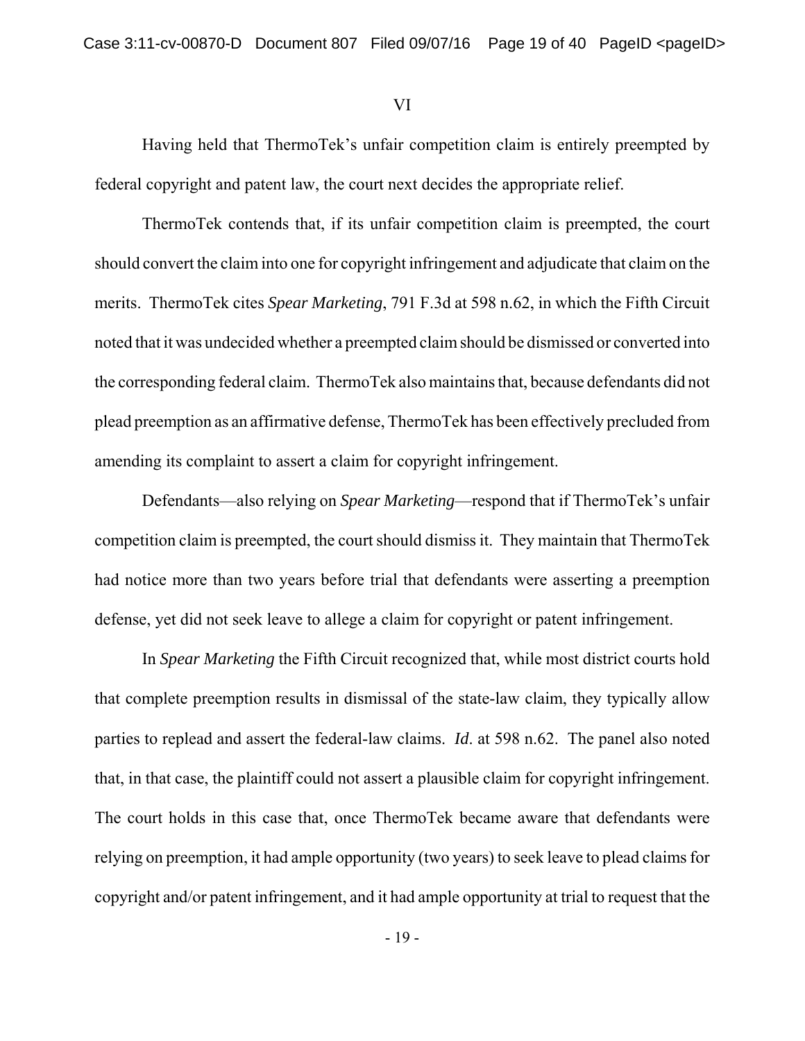### VI

Having held that ThermoTek's unfair competition claim is entirely preempted by federal copyright and patent law, the court next decides the appropriate relief.

ThermoTek contends that, if its unfair competition claim is preempted, the court should convert the claim into one for copyright infringement and adjudicate that claim on the merits. ThermoTek cites *Spear Marketing*, 791 F.3d at 598 n.62, in which the Fifth Circuit noted that it was undecided whether a preempted claim should be dismissed or converted into the corresponding federal claim. ThermoTek also maintains that, because defendants did not plead preemption as an affirmative defense, ThermoTek has been effectively precluded from amending its complaint to assert a claim for copyright infringement.

Defendants—also relying on *Spear Marketing*—respond that if ThermoTek's unfair competition claim is preempted, the court should dismiss it. They maintain that ThermoTek had notice more than two years before trial that defendants were asserting a preemption defense, yet did not seek leave to allege a claim for copyright or patent infringement.

In *Spear Marketing* the Fifth Circuit recognized that, while most district courts hold that complete preemption results in dismissal of the state-law claim, they typically allow parties to replead and assert the federal-law claims. *Id*. at 598 n.62. The panel also noted that, in that case, the plaintiff could not assert a plausible claim for copyright infringement. The court holds in this case that, once ThermoTek became aware that defendants were relying on preemption, it had ample opportunity (two years) to seek leave to plead claims for copyright and/or patent infringement, and it had ample opportunity at trial to request that the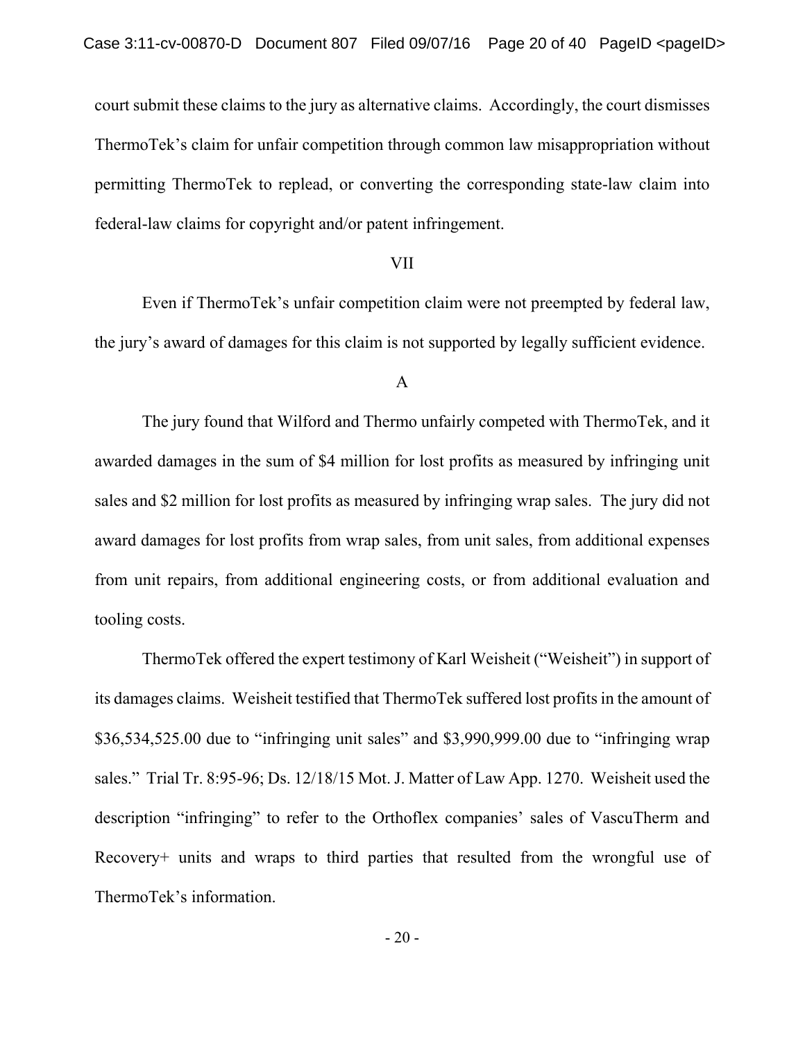court submit these claims to the jury as alternative claims. Accordingly, the court dismisses ThermoTek's claim for unfair competition through common law misappropriation without permitting ThermoTek to replead, or converting the corresponding state-law claim into federal-law claims for copyright and/or patent infringement.

## VII

Even if ThermoTek's unfair competition claim were not preempted by federal law, the jury's award of damages for this claim is not supported by legally sufficient evidence.

#### A

The jury found that Wilford and Thermo unfairly competed with ThermoTek, and it awarded damages in the sum of \$4 million for lost profits as measured by infringing unit sales and \$2 million for lost profits as measured by infringing wrap sales. The jury did not award damages for lost profits from wrap sales, from unit sales, from additional expenses from unit repairs, from additional engineering costs, or from additional evaluation and tooling costs.

ThermoTek offered the expert testimony of Karl Weisheit ("Weisheit") in support of its damages claims. Weisheit testified that ThermoTek suffered lost profits in the amount of \$36,534,525.00 due to "infringing unit sales" and \$3,990,999.00 due to "infringing wrap sales." Trial Tr. 8:95-96; Ds. 12/18/15 Mot. J. Matter of Law App. 1270. Weisheit used the description "infringing" to refer to the Orthoflex companies' sales of VascuTherm and Recovery+ units and wraps to third parties that resulted from the wrongful use of ThermoTek's information.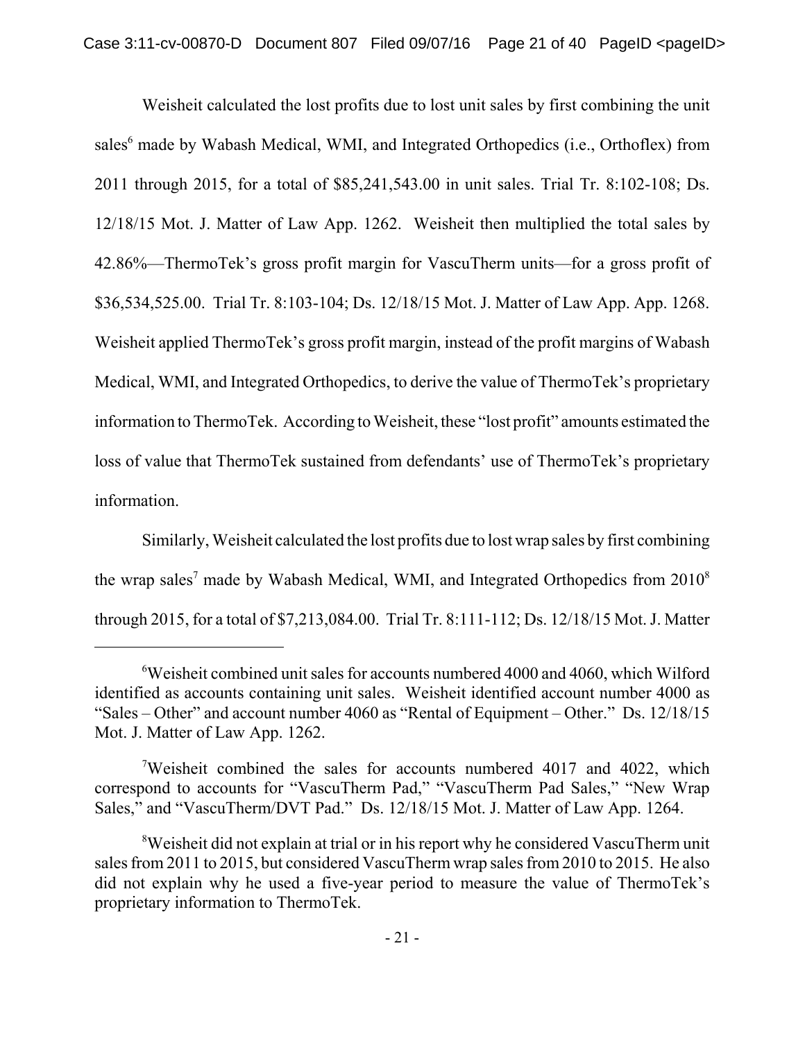Weisheit calculated the lost profits due to lost unit sales by first combining the unit sales<sup>6</sup> made by Wabash Medical, WMI, and Integrated Orthopedics (i.e., Orthoflex) from 2011 through 2015, for a total of \$85,241,543.00 in unit sales. Trial Tr. 8:102-108; Ds. 12/18/15 Mot. J. Matter of Law App. 1262. Weisheit then multiplied the total sales by 42.86%—ThermoTek's gross profit margin for VascuTherm units—for a gross profit of \$36,534,525.00. Trial Tr. 8:103-104; Ds. 12/18/15 Mot. J. Matter of Law App. App. 1268. Weisheit applied ThermoTek's gross profit margin, instead of the profit margins of Wabash Medical, WMI, and Integrated Orthopedics, to derive the value of ThermoTek's proprietary information to ThermoTek. According to Weisheit, these "lost profit" amounts estimated the loss of value that ThermoTek sustained from defendants' use of ThermoTek's proprietary information.

Similarly, Weisheit calculated the lost profits due to lost wrap sales by first combining the wrap sales<sup>7</sup> made by Wabash Medical, WMI, and Integrated Orthopedics from  $2010^8$ through 2015, for a total of \$7,213,084.00. Trial Tr. 8:111-112; Ds. 12/18/15 Mot. J. Matter

<sup>6</sup> Weisheit combined unit sales for accounts numbered 4000 and 4060, which Wilford identified as accounts containing unit sales. Weisheit identified account number 4000 as "Sales – Other" and account number 4060 as "Rental of Equipment – Other." Ds. 12/18/15 Mot. J. Matter of Law App. 1262.

<sup>&</sup>lt;sup>7</sup>Weisheit combined the sales for accounts numbered 4017 and 4022, which correspond to accounts for "VascuTherm Pad," "VascuTherm Pad Sales," "New Wrap Sales," and "VascuTherm/DVT Pad." Ds. 12/18/15 Mot. J. Matter of Law App. 1264.

<sup>&</sup>lt;sup>8</sup>Weisheit did not explain at trial or in his report why he considered VascuTherm unit sales from 2011 to 2015, but considered VascuTherm wrap sales from 2010 to 2015. He also did not explain why he used a five-year period to measure the value of ThermoTek's proprietary information to ThermoTek.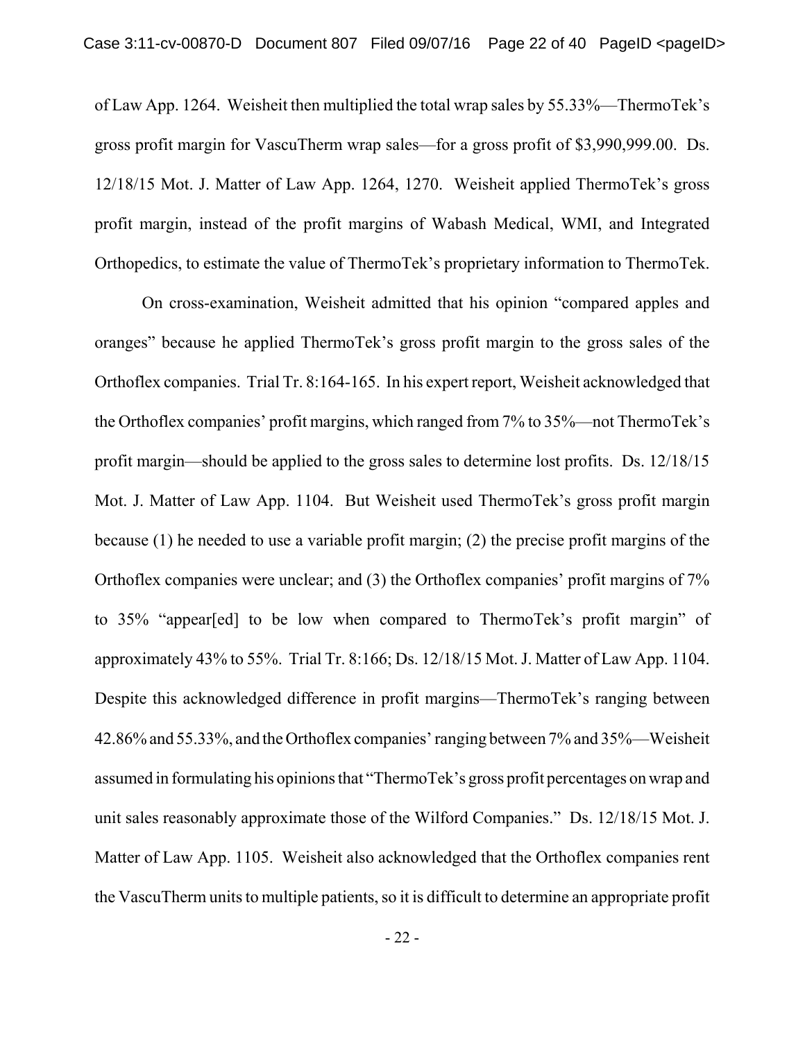of Law App. 1264. Weisheit then multiplied the total wrap sales by 55.33%—ThermoTek's gross profit margin for VascuTherm wrap sales—for a gross profit of \$3,990,999.00. Ds. 12/18/15 Mot. J. Matter of Law App. 1264, 1270. Weisheit applied ThermoTek's gross profit margin, instead of the profit margins of Wabash Medical, WMI, and Integrated Orthopedics, to estimate the value of ThermoTek's proprietary information to ThermoTek.

On cross-examination, Weisheit admitted that his opinion "compared apples and oranges" because he applied ThermoTek's gross profit margin to the gross sales of the Orthoflex companies. Trial Tr. 8:164-165. In his expert report, Weisheit acknowledged that the Orthoflex companies' profit margins, which ranged from 7% to 35%—not ThermoTek's profit margin—should be applied to the gross sales to determine lost profits. Ds. 12/18/15 Mot. J. Matter of Law App. 1104. But Weisheit used ThermoTek's gross profit margin because (1) he needed to use a variable profit margin; (2) the precise profit margins of the Orthoflex companies were unclear; and (3) the Orthoflex companies' profit margins of 7% to 35% "appear[ed] to be low when compared to ThermoTek's profit margin" of approximately 43% to 55%. Trial Tr. 8:166; Ds. 12/18/15 Mot. J. Matter of Law App. 1104. Despite this acknowledged difference in profit margins—ThermoTek's ranging between 42.86% and 55.33%, and the Orthoflex companies' ranging between 7% and 35%—Weisheit assumed in formulating his opinions that "ThermoTek's gross profit percentages on wrap and unit sales reasonably approximate those of the Wilford Companies." Ds. 12/18/15 Mot. J. Matter of Law App. 1105. Weisheit also acknowledged that the Orthoflex companies rent the VascuTherm units to multiple patients, so it is difficult to determine an appropriate profit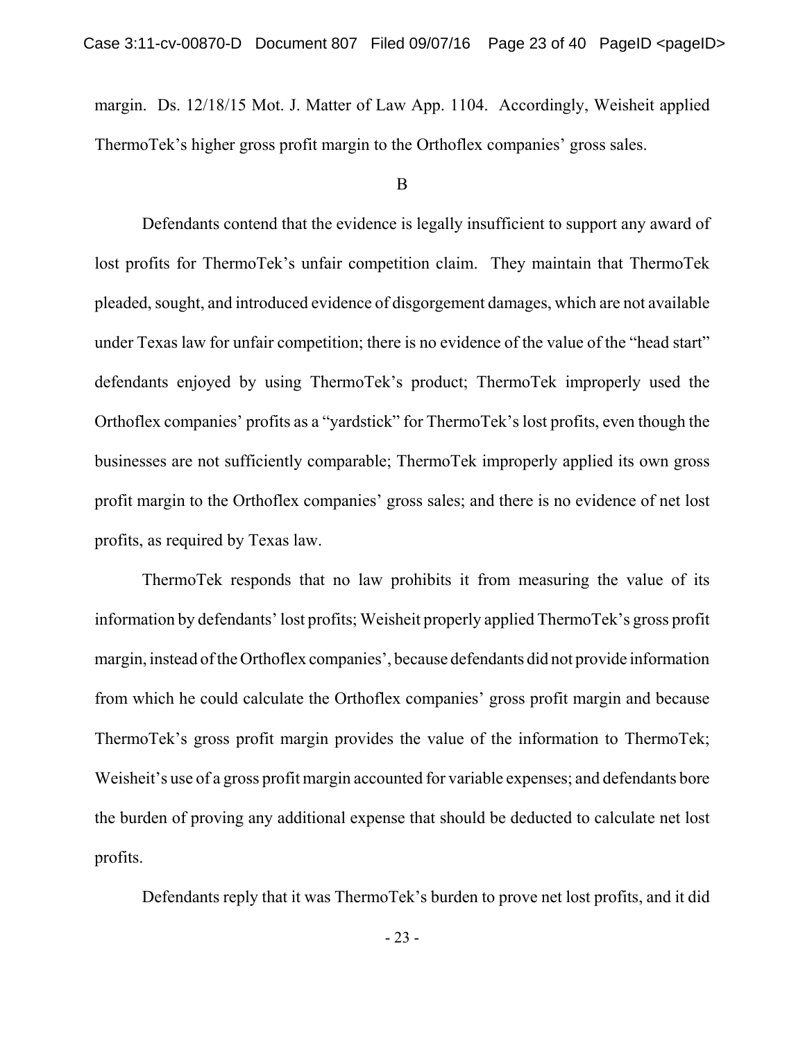margin. Ds. 12/18/15 Mot. J. Matter of Law App. 1104. Accordingly, Weisheit applied ThermoTek's higher gross profit margin to the Orthoflex companies' gross sales.

### B

Defendants contend that the evidence is legally insufficient to support any award of lost profits for ThermoTek's unfair competition claim. They maintain that ThermoTek pleaded, sought, and introduced evidence of disgorgement damages, which are not available under Texas law for unfair competition; there is no evidence of the value of the "head start" defendants enjoyed by using ThermoTek's product; ThermoTek improperly used the Orthoflex companies' profits as a "yardstick" for ThermoTek's lost profits, even though the businesses are not sufficiently comparable; ThermoTek improperly applied its own gross profit margin to the Orthoflex companies' gross sales; and there is no evidence of net lost profits, as required by Texas law.

ThermoTek responds that no law prohibits it from measuring the value of its information by defendants' lost profits; Weisheit properly applied ThermoTek's gross profit margin, instead of the Orthoflex companies', because defendants did not provide information from which he could calculate the Orthoflex companies' gross profit margin and because ThermoTek's gross profit margin provides the value of the information to ThermoTek; Weisheit's use of a gross profit margin accounted for variable expenses; and defendants bore the burden of proving any additional expense that should be deducted to calculate net lost profits.

Defendants reply that it was ThermoTek's burden to prove net lost profits, and it did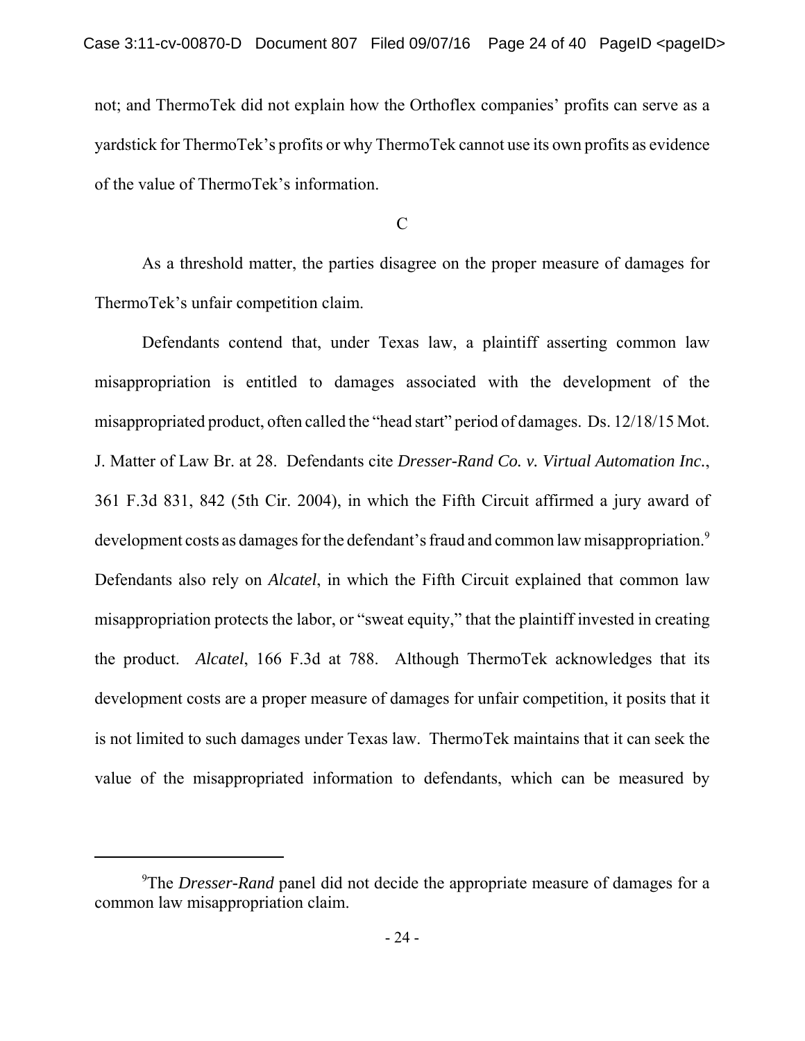not; and ThermoTek did not explain how the Orthoflex companies' profits can serve as a yardstick for ThermoTek's profits or why ThermoTek cannot use its own profits as evidence of the value of ThermoTek's information.

C

As a threshold matter, the parties disagree on the proper measure of damages for ThermoTek's unfair competition claim.

Defendants contend that, under Texas law, a plaintiff asserting common law misappropriation is entitled to damages associated with the development of the misappropriated product, often called the "head start" period of damages. Ds. 12/18/15 Mot. J. Matter of Law Br. at 28. Defendants cite *Dresser-Rand Co. v. Virtual Automation Inc.*, 361 F.3d 831, 842 (5th Cir. 2004), in which the Fifth Circuit affirmed a jury award of development costs as damages for the defendant's fraud and common law misappropriation.<sup>9</sup> Defendants also rely on *Alcatel*, in which the Fifth Circuit explained that common law misappropriation protects the labor, or "sweat equity," that the plaintiff invested in creating the product. *Alcatel*, 166 F.3d at 788. Although ThermoTek acknowledges that its development costs are a proper measure of damages for unfair competition, it posits that it is not limited to such damages under Texas law. ThermoTek maintains that it can seek the value of the misappropriated information to defendants, which can be measured by

<sup>&</sup>lt;sup>9</sup>The *Dresser-Rand* panel did not decide the appropriate measure of damages for a common law misappropriation claim.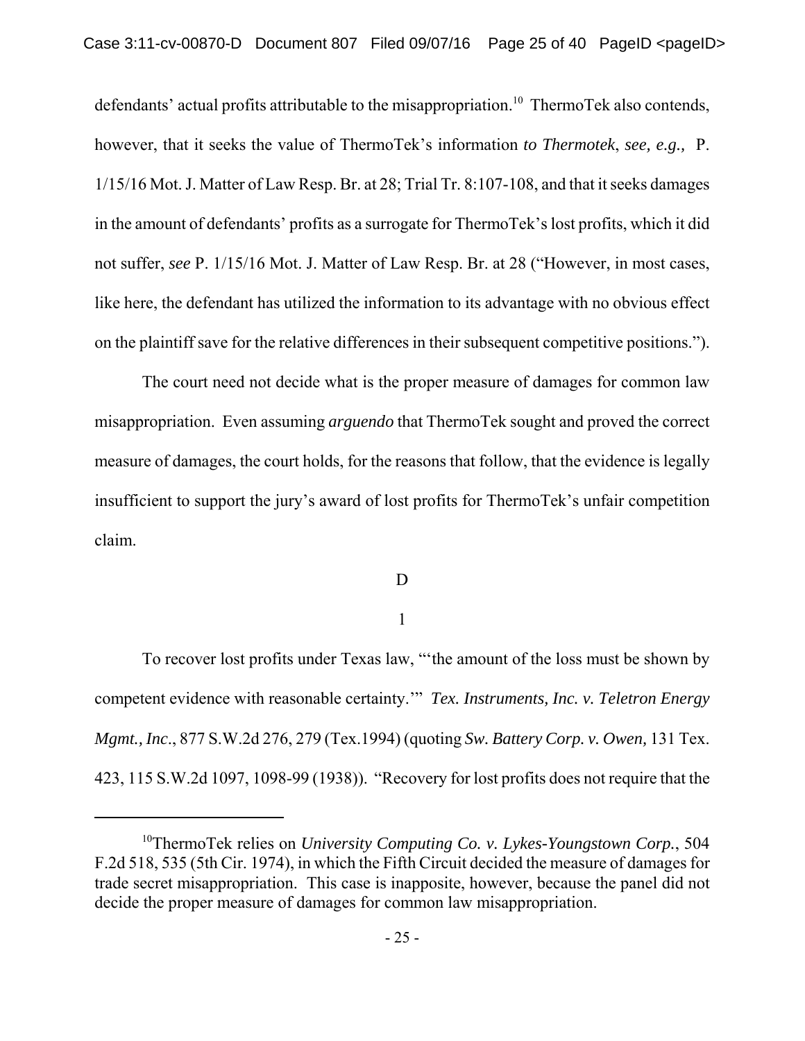defendants' actual profits attributable to the misappropriation.<sup>10</sup> ThermoTek also contends, however, that it seeks the value of ThermoTek's information *to Thermotek*, *see, e.g.,* P. 1/15/16 Mot. J. Matter of Law Resp. Br. at 28; Trial Tr. 8:107-108, and that it seeks damages in the amount of defendants' profits as a surrogate for ThermoTek's lost profits, which it did not suffer, *see* P. 1/15/16 Mot. J. Matter of Law Resp. Br. at 28 ("However, in most cases, like here, the defendant has utilized the information to its advantage with no obvious effect on the plaintiff save for the relative differences in their subsequent competitive positions.").

The court need not decide what is the proper measure of damages for common law misappropriation. Even assuming *arguendo* that ThermoTek sought and proved the correct measure of damages, the court holds, for the reasons that follow, that the evidence is legally insufficient to support the jury's award of lost profits for ThermoTek's unfair competition claim.

## D

## 1

To recover lost profits under Texas law, "'the amount of the loss must be shown by competent evidence with reasonable certainty.'" *Tex. Instruments, Inc. v. Teletron Energy Mgmt., Inc*., 877 S.W.2d 276, 279 (Tex.1994) (quoting *Sw. Battery Corp. v. Owen,* 131 Tex. 423, 115 S.W.2d 1097, 1098-99 (1938)). "Recovery for lost profits does not require that the

<sup>10</sup>ThermoTek relies on *University Computing Co. v. Lykes-Youngstown Corp.*, 504 F.2d 518, 535 (5th Cir. 1974), in which the Fifth Circuit decided the measure of damages for trade secret misappropriation. This case is inapposite, however, because the panel did not decide the proper measure of damages for common law misappropriation.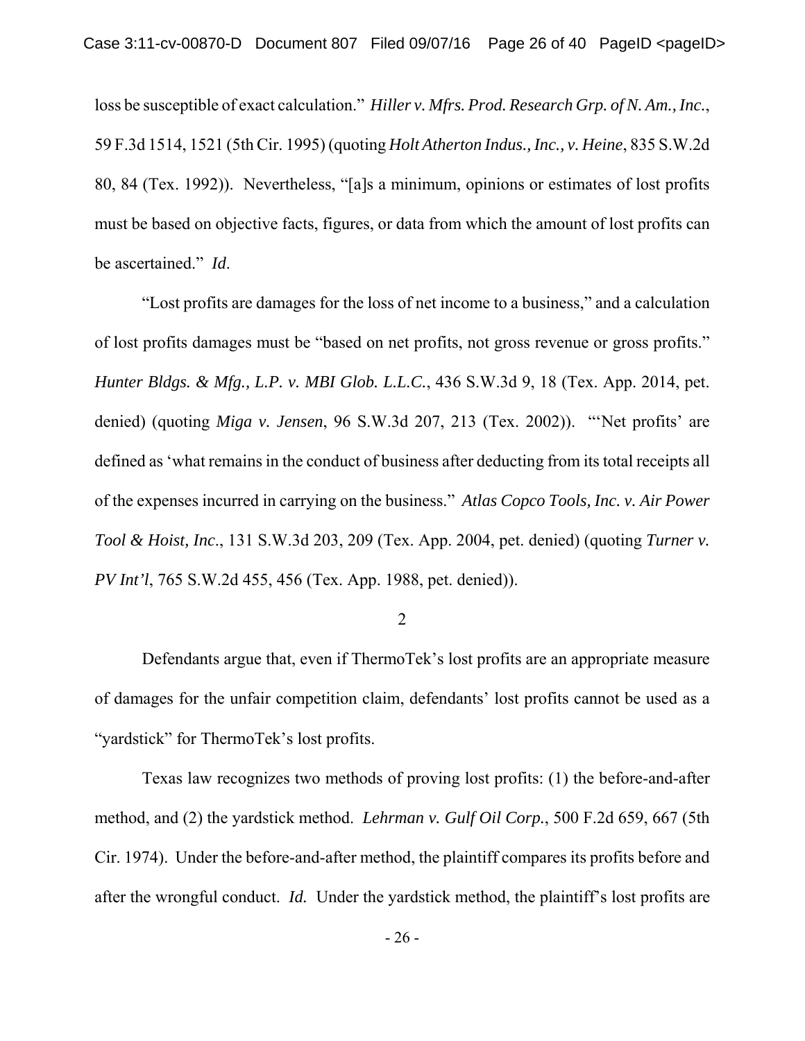loss be susceptible of exact calculation." *Hiller v. Mfrs. Prod. Research Grp. of N. Am., Inc.*, 59 F.3d 1514, 1521 (5th Cir. 1995) (quoting *Holt Atherton Indus., Inc., v. Heine*, 835 S.W.2d 80, 84 (Tex. 1992)). Nevertheless, "[a]s a minimum, opinions or estimates of lost profits must be based on objective facts, figures, or data from which the amount of lost profits can be ascertained." *Id*.

"Lost profits are damages for the loss of net income to a business," and a calculation of lost profits damages must be "based on net profits, not gross revenue or gross profits." *Hunter Bldgs. & Mfg., L.P. v. MBI Glob. L.L.C.*, 436 S.W.3d 9, 18 (Tex. App. 2014, pet. denied) (quoting *Miga v. Jensen*, 96 S.W.3d 207, 213 (Tex. 2002)). "'Net profits' are defined as 'what remains in the conduct of business after deducting from its total receipts all of the expenses incurred in carrying on the business." *Atlas Copco Tools, Inc. v. Air Power Tool & Hoist, Inc*., 131 S.W.3d 203, 209 (Tex. App. 2004, pet. denied) (quoting *Turner v. PV Int'l*, 765 S.W.2d 455, 456 (Tex. App. 1988, pet. denied)).

2

Defendants argue that, even if ThermoTek's lost profits are an appropriate measure of damages for the unfair competition claim, defendants' lost profits cannot be used as a "yardstick" for ThermoTek's lost profits.

Texas law recognizes two methods of proving lost profits: (1) the before-and-after method, and (2) the yardstick method. *Lehrman v. Gulf Oil Corp.*, 500 F.2d 659, 667 (5th Cir. 1974). Under the before-and-after method, the plaintiff compares its profits before and after the wrongful conduct. *Id.* Under the yardstick method, the plaintiff's lost profits are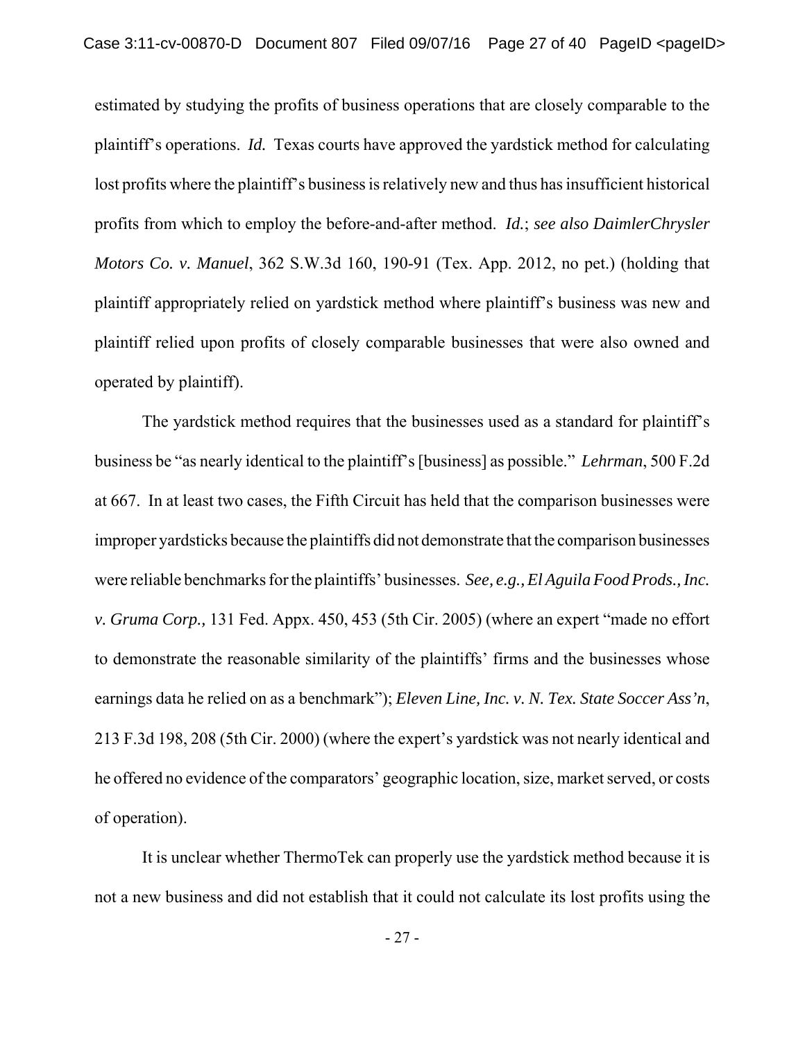estimated by studying the profits of business operations that are closely comparable to the plaintiff's operations. *Id.* Texas courts have approved the yardstick method for calculating lost profits where the plaintiff's business is relatively new and thus has insufficient historical profits from which to employ the before-and-after method. *Id.*; *see also DaimlerChrysler Motors Co. v. Manuel*, 362 S.W.3d 160, 190-91 (Tex. App. 2012, no pet.) (holding that plaintiff appropriately relied on yardstick method where plaintiff's business was new and plaintiff relied upon profits of closely comparable businesses that were also owned and operated by plaintiff).

The yardstick method requires that the businesses used as a standard for plaintiff's business be "as nearly identical to the plaintiff's [business] as possible." *Lehrman*, 500 F.2d at 667. In at least two cases, the Fifth Circuit has held that the comparison businesses were improper yardsticks because the plaintiffs did not demonstrate that the comparison businesses were reliable benchmarks for the plaintiffs' businesses. *See, e.g., El Aguila Food Prods., Inc. v. Gruma Corp.,* 131 Fed. Appx. 450, 453 (5th Cir. 2005) (where an expert "made no effort to demonstrate the reasonable similarity of the plaintiffs' firms and the businesses whose earnings data he relied on as a benchmark"); *Eleven Line, Inc. v. N. Tex. State Soccer Ass'n*, 213 F.3d 198, 208 (5th Cir. 2000) (where the expert's yardstick was not nearly identical and he offered no evidence of the comparators' geographic location, size, market served, or costs of operation).

It is unclear whether ThermoTek can properly use the yardstick method because it is not a new business and did not establish that it could not calculate its lost profits using the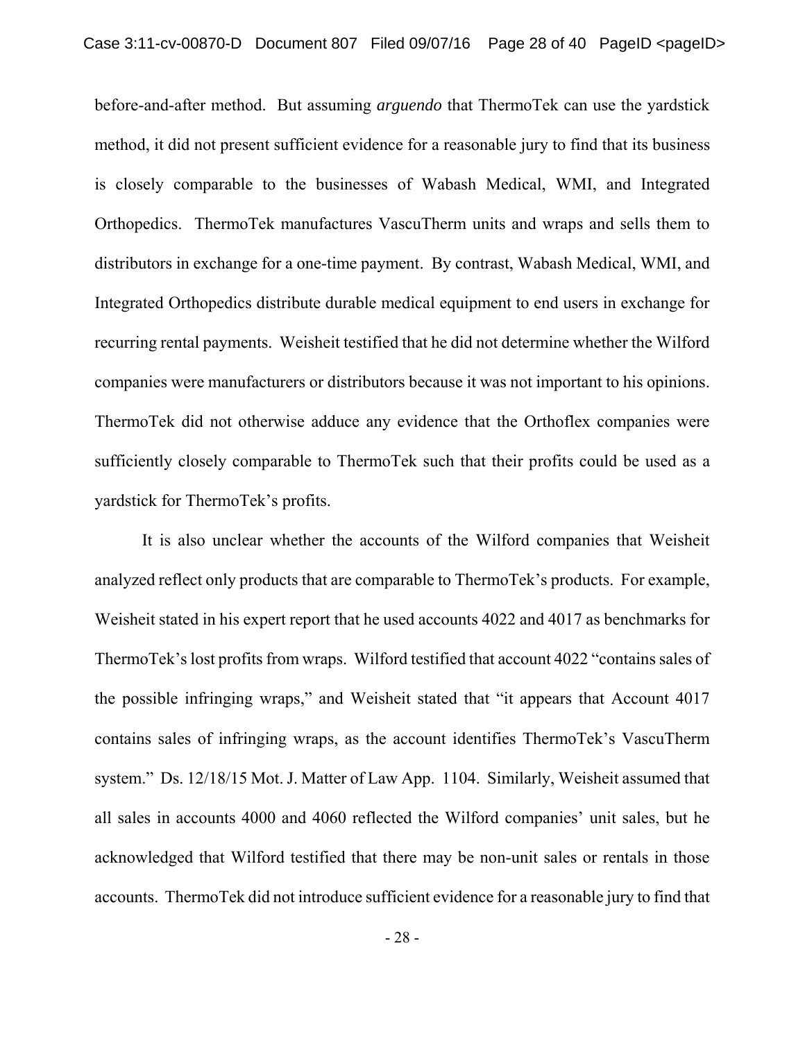before-and-after method. But assuming *arguendo* that ThermoTek can use the yardstick method, it did not present sufficient evidence for a reasonable jury to find that its business is closely comparable to the businesses of Wabash Medical, WMI, and Integrated Orthopedics. ThermoTek manufactures VascuTherm units and wraps and sells them to distributors in exchange for a one-time payment. By contrast, Wabash Medical, WMI, and Integrated Orthopedics distribute durable medical equipment to end users in exchange for recurring rental payments. Weisheit testified that he did not determine whether the Wilford companies were manufacturers or distributors because it was not important to his opinions. ThermoTek did not otherwise adduce any evidence that the Orthoflex companies were sufficiently closely comparable to ThermoTek such that their profits could be used as a yardstick for ThermoTek's profits.

It is also unclear whether the accounts of the Wilford companies that Weisheit analyzed reflect only products that are comparable to ThermoTek's products. For example, Weisheit stated in his expert report that he used accounts 4022 and 4017 as benchmarks for ThermoTek's lost profits from wraps. Wilford testified that account 4022 "contains sales of the possible infringing wraps," and Weisheit stated that "it appears that Account 4017 contains sales of infringing wraps, as the account identifies ThermoTek's VascuTherm system." Ds. 12/18/15 Mot. J. Matter of Law App. 1104. Similarly, Weisheit assumed that all sales in accounts 4000 and 4060 reflected the Wilford companies' unit sales, but he acknowledged that Wilford testified that there may be non-unit sales or rentals in those accounts. ThermoTek did not introduce sufficient evidence for a reasonable jury to find that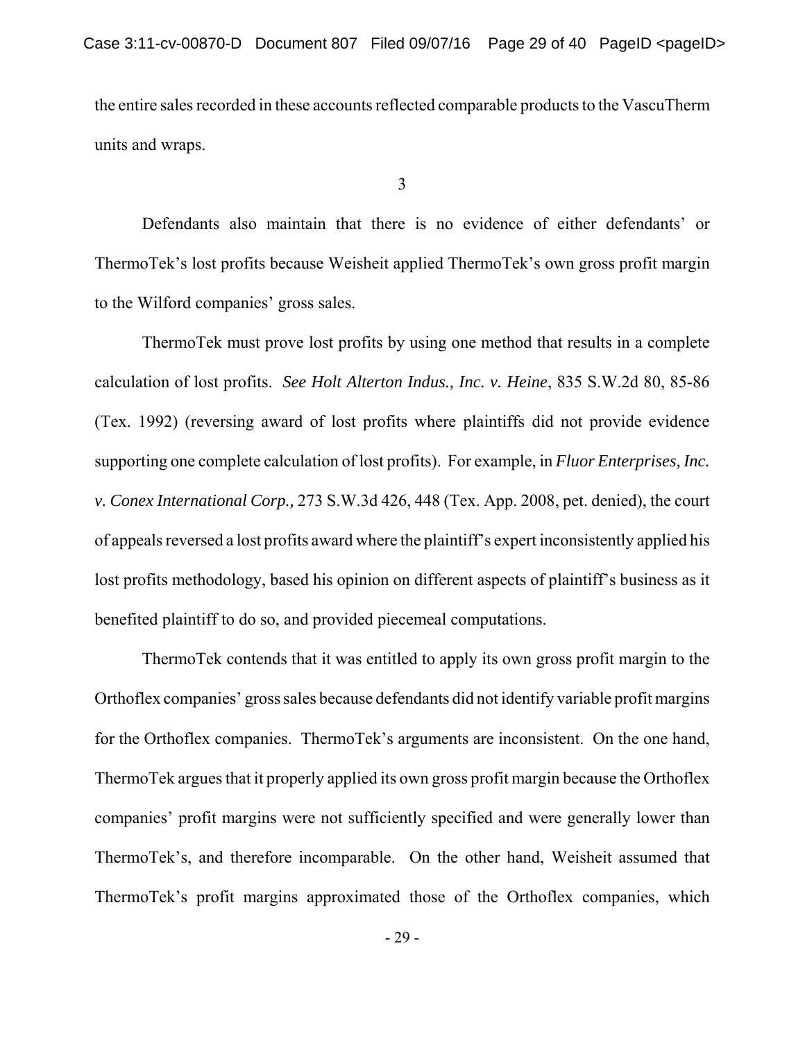the entire sales recorded in these accounts reflected comparable products to the VascuTherm units and wraps.

3

Defendants also maintain that there is no evidence of either defendants' or ThermoTek's lost profits because Weisheit applied ThermoTek's own gross profit margin to the Wilford companies' gross sales.

ThermoTek must prove lost profits by using one method that results in a complete calculation of lost profits. *See Holt Alterton Indus., Inc. v. Heine*, 835 S.W.2d 80, 85-86 (Tex. 1992) (reversing award of lost profits where plaintiffs did not provide evidence supporting one complete calculation of lost profits). For example, in *Fluor Enterprises, Inc. v. Conex International Corp.,* 273 S.W.3d 426, 448 (Tex. App. 2008, pet. denied), the court of appeals reversed a lost profits award where the plaintiff's expert inconsistently applied his lost profits methodology, based his opinion on different aspects of plaintiff's business as it benefited plaintiff to do so, and provided piecemeal computations.

ThermoTek contends that it was entitled to apply its own gross profit margin to the Orthoflex companies' gross sales because defendants did not identify variable profit margins for the Orthoflex companies. ThermoTek's arguments are inconsistent. On the one hand, ThermoTek argues that it properly applied its own gross profit margin because the Orthoflex companies' profit margins were not sufficiently specified and were generally lower than ThermoTek's, and therefore incomparable. On the other hand, Weisheit assumed that ThermoTek's profit margins approximated those of the Orthoflex companies, which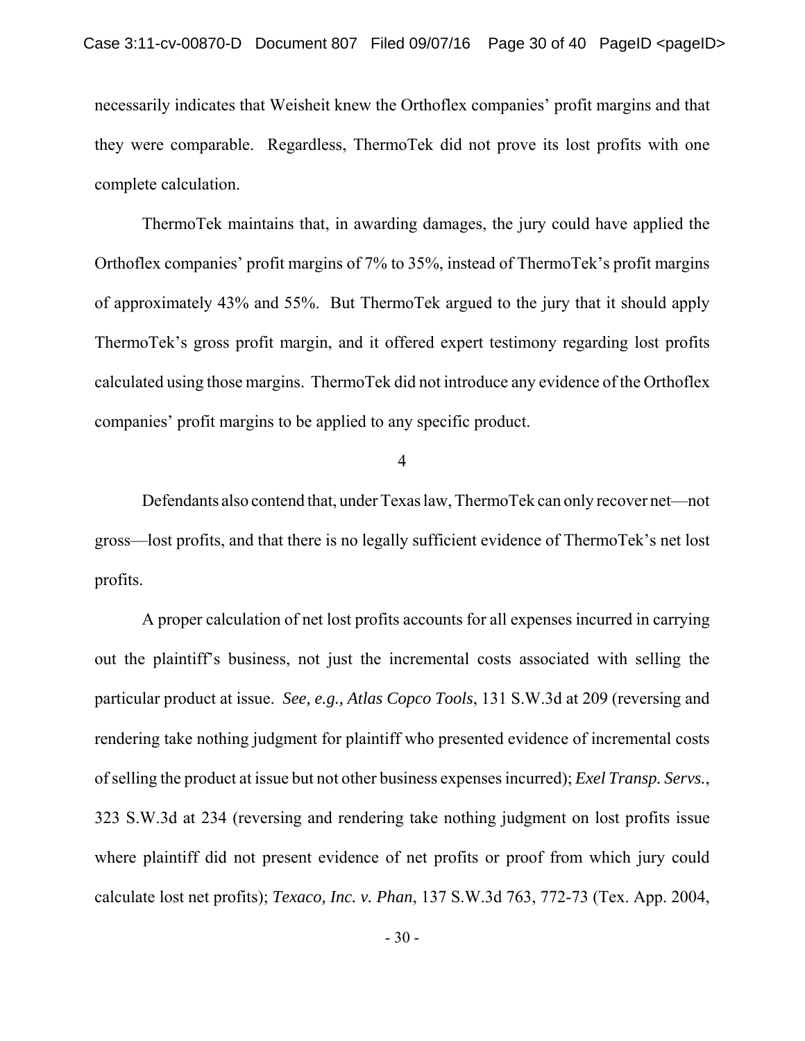necessarily indicates that Weisheit knew the Orthoflex companies' profit margins and that they were comparable. Regardless, ThermoTek did not prove its lost profits with one complete calculation.

ThermoTek maintains that, in awarding damages, the jury could have applied the Orthoflex companies' profit margins of 7% to 35%, instead of ThermoTek's profit margins of approximately 43% and 55%. But ThermoTek argued to the jury that it should apply ThermoTek's gross profit margin, and it offered expert testimony regarding lost profits calculated using those margins. ThermoTek did not introduce any evidence of the Orthoflex companies' profit margins to be applied to any specific product.

4

Defendants also contend that, under Texas law, ThermoTek can only recover net—not gross—lost profits, and that there is no legally sufficient evidence of ThermoTek's net lost profits.

A proper calculation of net lost profits accounts for all expenses incurred in carrying out the plaintiff's business, not just the incremental costs associated with selling the particular product at issue. *See, e.g., Atlas Copco Tools*, 131 S.W.3d at 209 (reversing and rendering take nothing judgment for plaintiff who presented evidence of incremental costs of selling the product at issue but not other business expenses incurred); *Exel Transp. Servs.*, 323 S.W.3d at 234 (reversing and rendering take nothing judgment on lost profits issue where plaintiff did not present evidence of net profits or proof from which jury could calculate lost net profits); *Texaco, Inc. v. Phan*, 137 S.W.3d 763, 772-73 (Tex. App. 2004,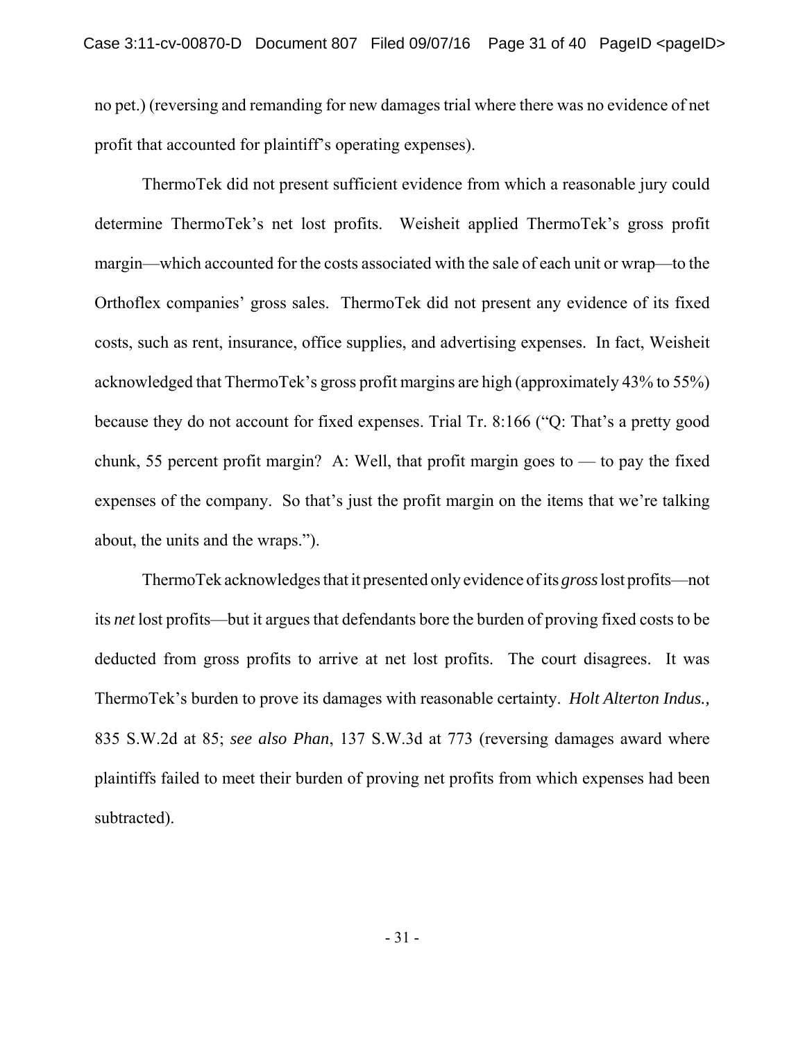no pet.) (reversing and remanding for new damages trial where there was no evidence of net profit that accounted for plaintiff's operating expenses).

ThermoTek did not present sufficient evidence from which a reasonable jury could determine ThermoTek's net lost profits. Weisheit applied ThermoTek's gross profit margin—which accounted for the costs associated with the sale of each unit or wrap—to the Orthoflex companies' gross sales. ThermoTek did not present any evidence of its fixed costs, such as rent, insurance, office supplies, and advertising expenses. In fact, Weisheit acknowledged that ThermoTek's gross profit margins are high (approximately 43% to 55%) because they do not account for fixed expenses. Trial Tr. 8:166 ("Q: That's a pretty good chunk, 55 percent profit margin? A: Well, that profit margin goes to  $-$  to pay the fixed expenses of the company. So that's just the profit margin on the items that we're talking about, the units and the wraps.").

ThermoTek acknowledges that it presented only evidence of its *gross* lost profits—not its *net* lost profits—but it argues that defendants bore the burden of proving fixed costs to be deducted from gross profits to arrive at net lost profits. The court disagrees. It was ThermoTek's burden to prove its damages with reasonable certainty. *Holt Alterton Indus.,* 835 S.W.2d at 85; *see also Phan*, 137 S.W.3d at 773 (reversing damages award where plaintiffs failed to meet their burden of proving net profits from which expenses had been subtracted).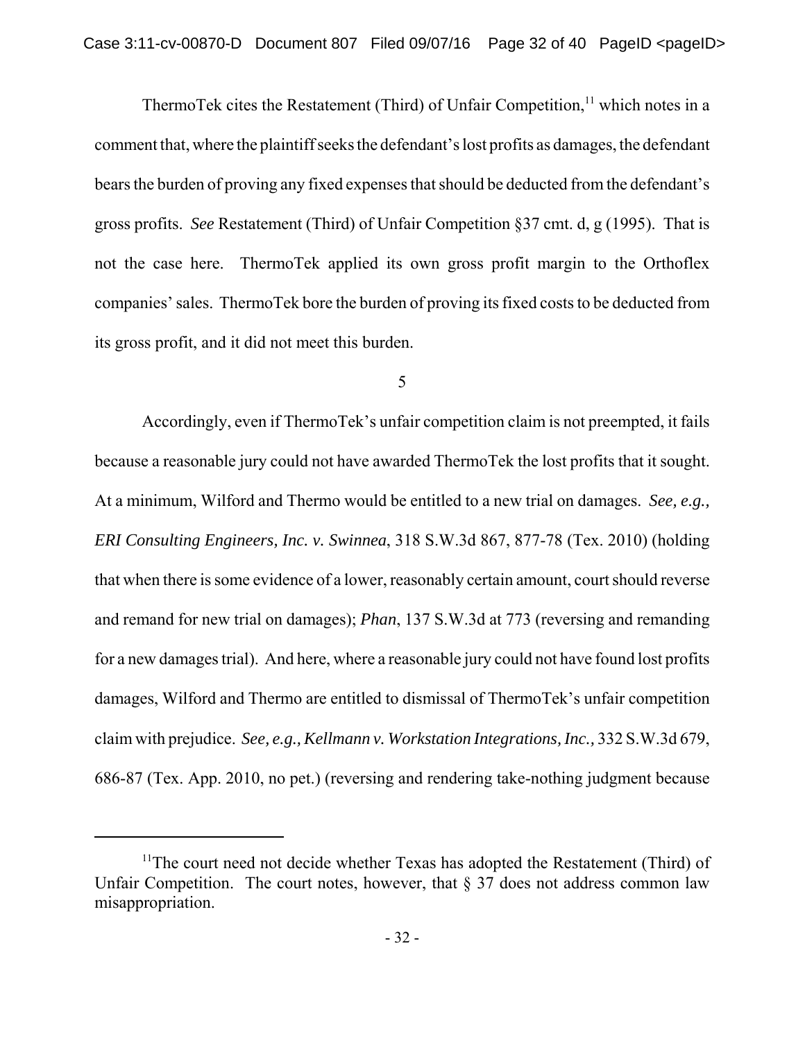ThermoTek cites the Restatement (Third) of Unfair Competition, $<sup>11</sup>$  which notes in a</sup> comment that, where the plaintiff seeks the defendant's lost profits as damages, the defendant bears the burden of proving any fixed expenses that should be deducted from the defendant's gross profits. *See* Restatement (Third) of Unfair Competition §37 cmt. d, g (1995). That is not the case here. ThermoTek applied its own gross profit margin to the Orthoflex companies' sales. ThermoTek bore the burden of proving its fixed costs to be deducted from its gross profit, and it did not meet this burden.

### 5

Accordingly, even if ThermoTek's unfair competition claim is not preempted, it fails because a reasonable jury could not have awarded ThermoTek the lost profits that it sought. At a minimum, Wilford and Thermo would be entitled to a new trial on damages. *See, e.g., ERI Consulting Engineers, Inc. v. Swinnea*, 318 S.W.3d 867, 877-78 (Tex. 2010) (holding that when there is some evidence of a lower, reasonably certain amount, court should reverse and remand for new trial on damages); *Phan*, 137 S.W.3d at 773 (reversing and remanding for a new damages trial). And here, where a reasonable jury could not have found lost profits damages, Wilford and Thermo are entitled to dismissal of ThermoTek's unfair competition claim with prejudice. *See, e.g., Kellmann v. Workstation Integrations, Inc.,* 332 S.W.3d 679, 686-87 (Tex. App. 2010, no pet.) (reversing and rendering take-nothing judgment because

 $11$ The court need not decide whether Texas has adopted the Restatement (Third) of Unfair Competition. The court notes, however, that  $\S 37$  does not address common law misappropriation.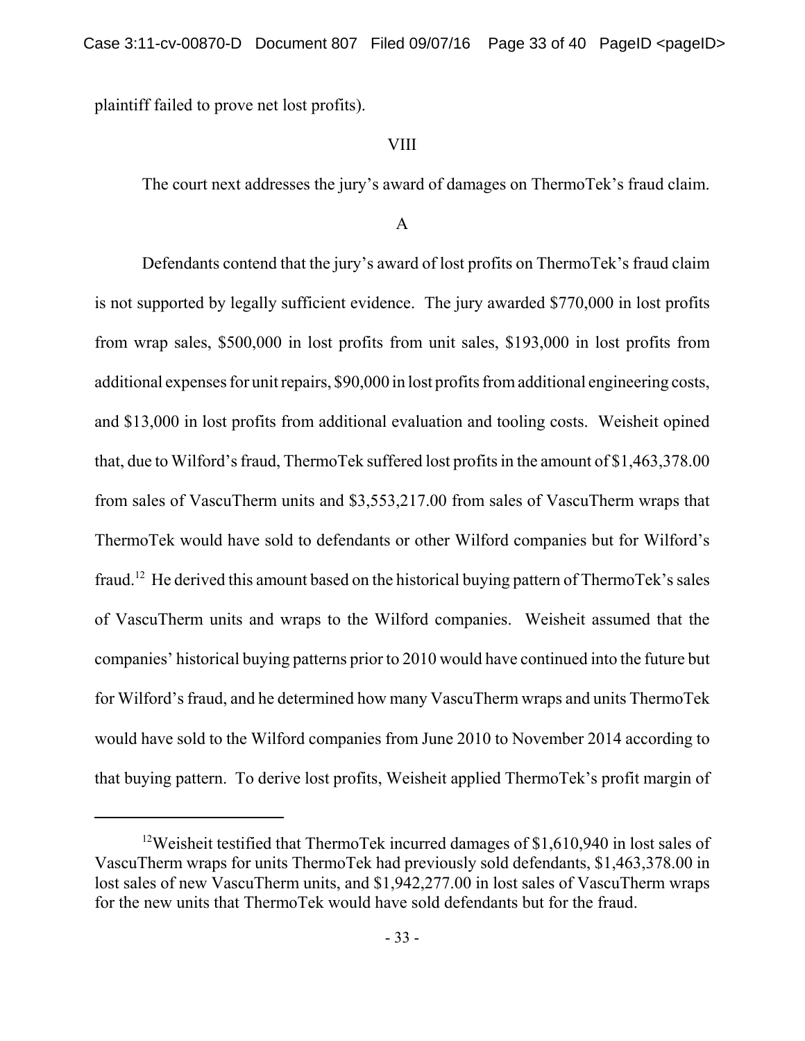plaintiff failed to prove net lost profits).

## VIII

The court next addresses the jury's award of damages on ThermoTek's fraud claim.

## A

Defendants contend that the jury's award of lost profits on ThermoTek's fraud claim is not supported by legally sufficient evidence. The jury awarded \$770,000 in lost profits from wrap sales, \$500,000 in lost profits from unit sales, \$193,000 in lost profits from additional expenses for unit repairs, \$90,000 in lost profits from additional engineering costs, and \$13,000 in lost profits from additional evaluation and tooling costs. Weisheit opined that, due to Wilford's fraud, ThermoTek suffered lost profits in the amount of \$1,463,378.00 from sales of VascuTherm units and \$3,553,217.00 from sales of VascuTherm wraps that ThermoTek would have sold to defendants or other Wilford companies but for Wilford's fraud.<sup>12</sup> He derived this amount based on the historical buying pattern of ThermoTek's sales of VascuTherm units and wraps to the Wilford companies. Weisheit assumed that the companies' historical buying patterns prior to 2010 would have continued into the future but for Wilford's fraud, and he determined how many VascuTherm wraps and units ThermoTek would have sold to the Wilford companies from June 2010 to November 2014 according to that buying pattern. To derive lost profits, Weisheit applied ThermoTek's profit margin of

<sup>&</sup>lt;sup>12</sup>Weisheit testified that ThermoTek incurred damages of \$1,610,940 in lost sales of VascuTherm wraps for units ThermoTek had previously sold defendants, \$1,463,378.00 in lost sales of new VascuTherm units, and \$1,942,277.00 in lost sales of VascuTherm wraps for the new units that ThermoTek would have sold defendants but for the fraud.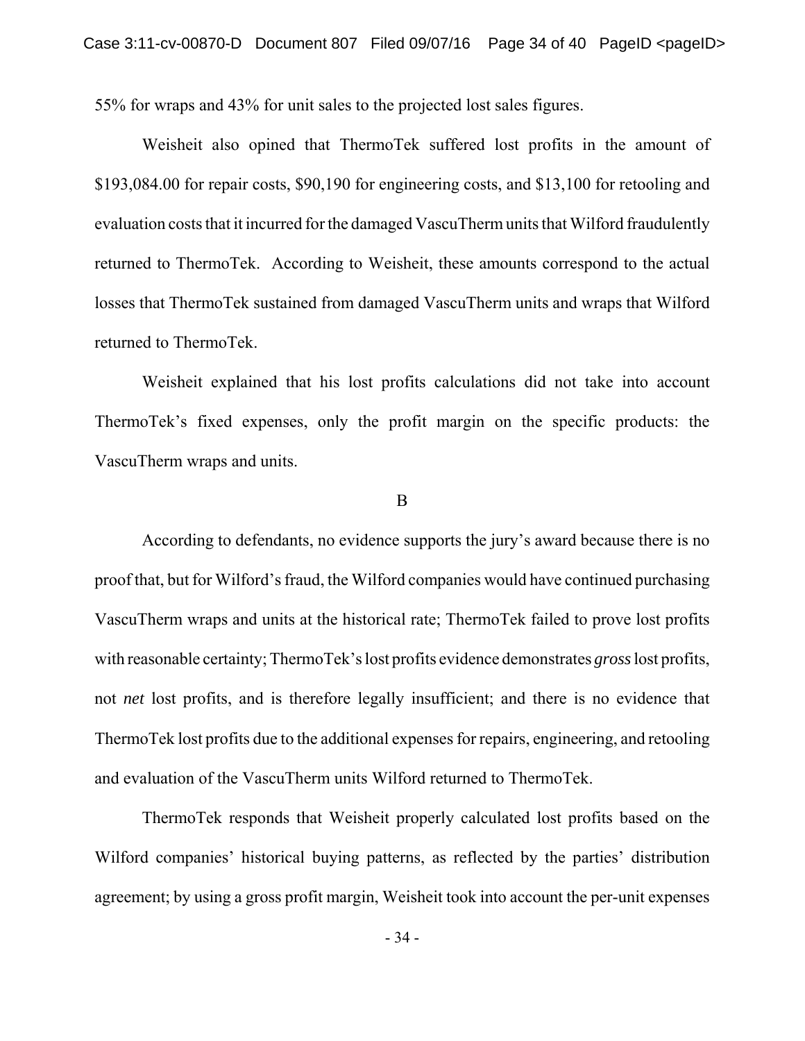55% for wraps and 43% for unit sales to the projected lost sales figures.

Weisheit also opined that ThermoTek suffered lost profits in the amount of \$193,084.00 for repair costs, \$90,190 for engineering costs, and \$13,100 for retooling and evaluation costs that it incurred for the damaged VascuTherm units that Wilford fraudulently returned to ThermoTek. According to Weisheit, these amounts correspond to the actual losses that ThermoTek sustained from damaged VascuTherm units and wraps that Wilford returned to ThermoTek.

Weisheit explained that his lost profits calculations did not take into account ThermoTek's fixed expenses, only the profit margin on the specific products: the VascuTherm wraps and units.

#### B

According to defendants, no evidence supports the jury's award because there is no proof that, but for Wilford's fraud, the Wilford companies would have continued purchasing VascuTherm wraps and units at the historical rate; ThermoTek failed to prove lost profits with reasonable certainty; ThermoTek's lost profits evidence demonstrates *gross* lost profits, not *net* lost profits, and is therefore legally insufficient; and there is no evidence that ThermoTek lost profits due to the additional expenses for repairs, engineering, and retooling and evaluation of the VascuTherm units Wilford returned to ThermoTek.

ThermoTek responds that Weisheit properly calculated lost profits based on the Wilford companies' historical buying patterns, as reflected by the parties' distribution agreement; by using a gross profit margin, Weisheit took into account the per-unit expenses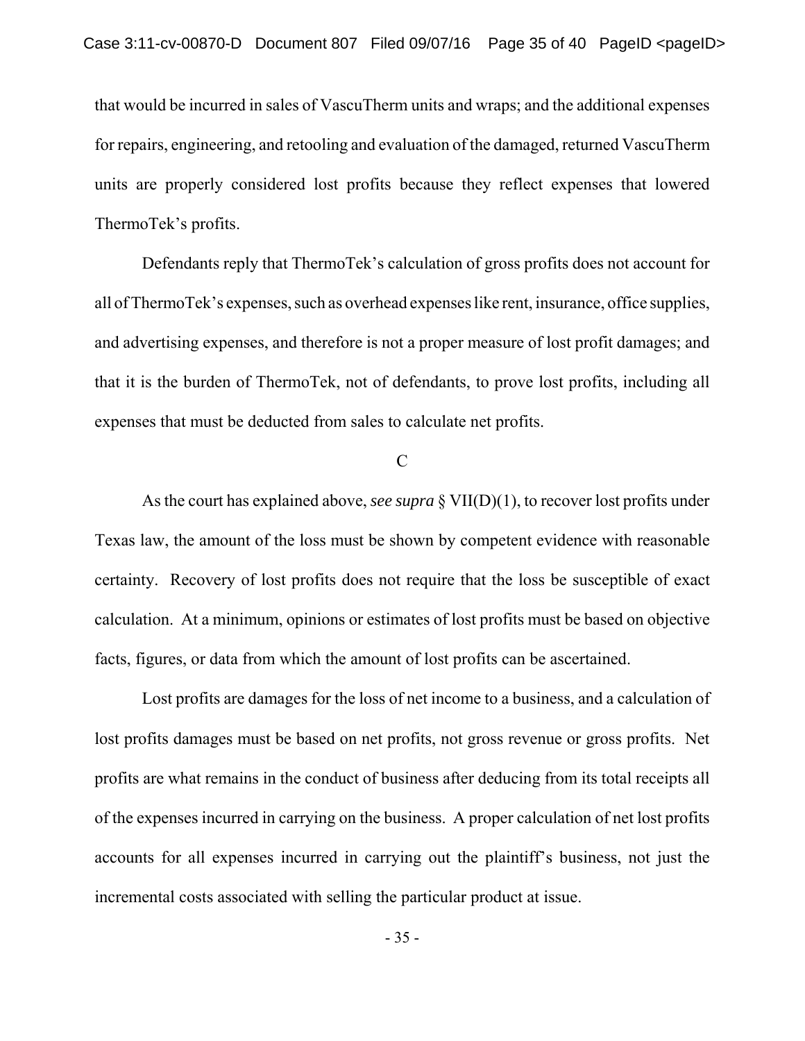that would be incurred in sales of VascuTherm units and wraps; and the additional expenses for repairs, engineering, and retooling and evaluation of the damaged, returned VascuTherm units are properly considered lost profits because they reflect expenses that lowered ThermoTek's profits.

Defendants reply that ThermoTek's calculation of gross profits does not account for all of ThermoTek's expenses, such as overhead expenses like rent, insurance, office supplies, and advertising expenses, and therefore is not a proper measure of lost profit damages; and that it is the burden of ThermoTek, not of defendants, to prove lost profits, including all expenses that must be deducted from sales to calculate net profits.

C

As the court has explained above, *see supra* § VII(D)(1), to recover lost profits under Texas law, the amount of the loss must be shown by competent evidence with reasonable certainty. Recovery of lost profits does not require that the loss be susceptible of exact calculation. At a minimum, opinions or estimates of lost profits must be based on objective facts, figures, or data from which the amount of lost profits can be ascertained.

Lost profits are damages for the loss of net income to a business, and a calculation of lost profits damages must be based on net profits, not gross revenue or gross profits. Net profits are what remains in the conduct of business after deducing from its total receipts all of the expenses incurred in carrying on the business. A proper calculation of net lost profits accounts for all expenses incurred in carrying out the plaintiff's business, not just the incremental costs associated with selling the particular product at issue.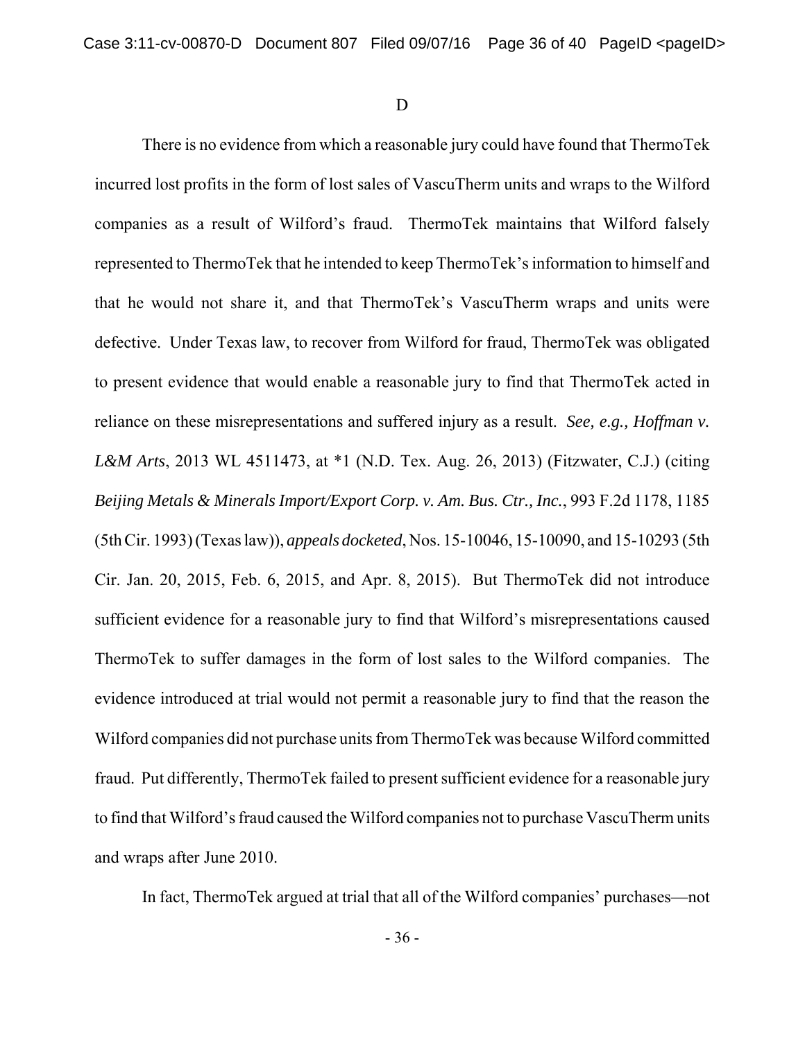D

There is no evidence from which a reasonable jury could have found that ThermoTek incurred lost profits in the form of lost sales of VascuTherm units and wraps to the Wilford companies as a result of Wilford's fraud. ThermoTek maintains that Wilford falsely represented to ThermoTek that he intended to keep ThermoTek's information to himself and that he would not share it, and that ThermoTek's VascuTherm wraps and units were defective. Under Texas law, to recover from Wilford for fraud, ThermoTek was obligated to present evidence that would enable a reasonable jury to find that ThermoTek acted in reliance on these misrepresentations and suffered injury as a result. *See, e.g., Hoffman v. L&M Arts*, 2013 WL 4511473, at \*1 (N.D. Tex. Aug. 26, 2013) (Fitzwater, C.J.) (citing *Beijing Metals & Minerals Import/Export Corp. v. Am. Bus. Ctr., Inc.*, 993 F.2d 1178, 1185 (5th Cir. 1993) (Texas law)), *appeals docketed*, Nos. 15-10046, 15-10090, and 15-10293 (5th Cir. Jan. 20, 2015, Feb. 6, 2015, and Apr. 8, 2015). But ThermoTek did not introduce sufficient evidence for a reasonable jury to find that Wilford's misrepresentations caused ThermoTek to suffer damages in the form of lost sales to the Wilford companies. The evidence introduced at trial would not permit a reasonable jury to find that the reason the Wilford companies did not purchase units from ThermoTek was because Wilford committed fraud. Put differently, ThermoTek failed to present sufficient evidence for a reasonable jury to find that Wilford's fraud caused the Wilford companies not to purchase VascuTherm units and wraps after June 2010.

In fact, ThermoTek argued at trial that all of the Wilford companies' purchases—not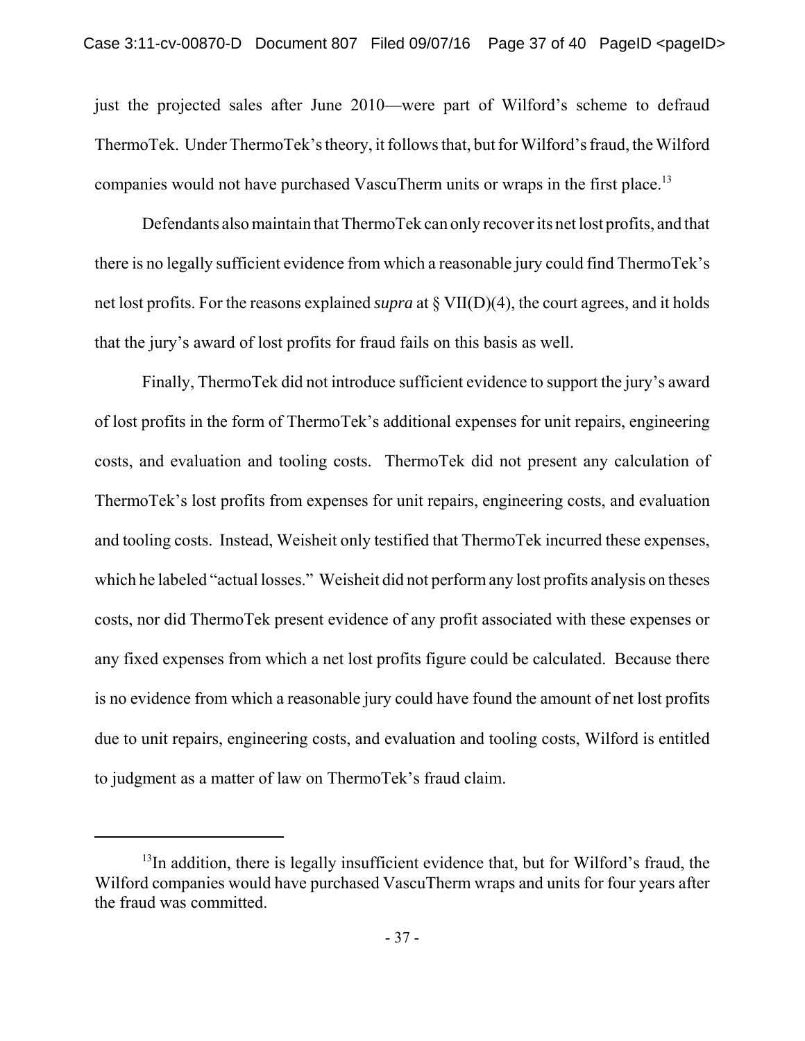just the projected sales after June 2010—were part of Wilford's scheme to defraud ThermoTek. Under ThermoTek's theory, it follows that, but for Wilford's fraud, the Wilford companies would not have purchased VascuTherm units or wraps in the first place.<sup>13</sup>

Defendants also maintain that ThermoTek can only recover its net lost profits, and that there is no legally sufficient evidence from which a reasonable jury could find ThermoTek's net lost profits. For the reasons explained *supra* at § VII(D)(4), the court agrees, and it holds that the jury's award of lost profits for fraud fails on this basis as well.

Finally, ThermoTek did not introduce sufficient evidence to support the jury's award of lost profits in the form of ThermoTek's additional expenses for unit repairs, engineering costs, and evaluation and tooling costs. ThermoTek did not present any calculation of ThermoTek's lost profits from expenses for unit repairs, engineering costs, and evaluation and tooling costs. Instead, Weisheit only testified that ThermoTek incurred these expenses, which he labeled "actual losses." Weisheit did not perform any lost profits analysis on theses costs, nor did ThermoTek present evidence of any profit associated with these expenses or any fixed expenses from which a net lost profits figure could be calculated. Because there is no evidence from which a reasonable jury could have found the amount of net lost profits due to unit repairs, engineering costs, and evaluation and tooling costs, Wilford is entitled to judgment as a matter of law on ThermoTek's fraud claim.

 $13$ In addition, there is legally insufficient evidence that, but for Wilford's fraud, the Wilford companies would have purchased VascuTherm wraps and units for four years after the fraud was committed.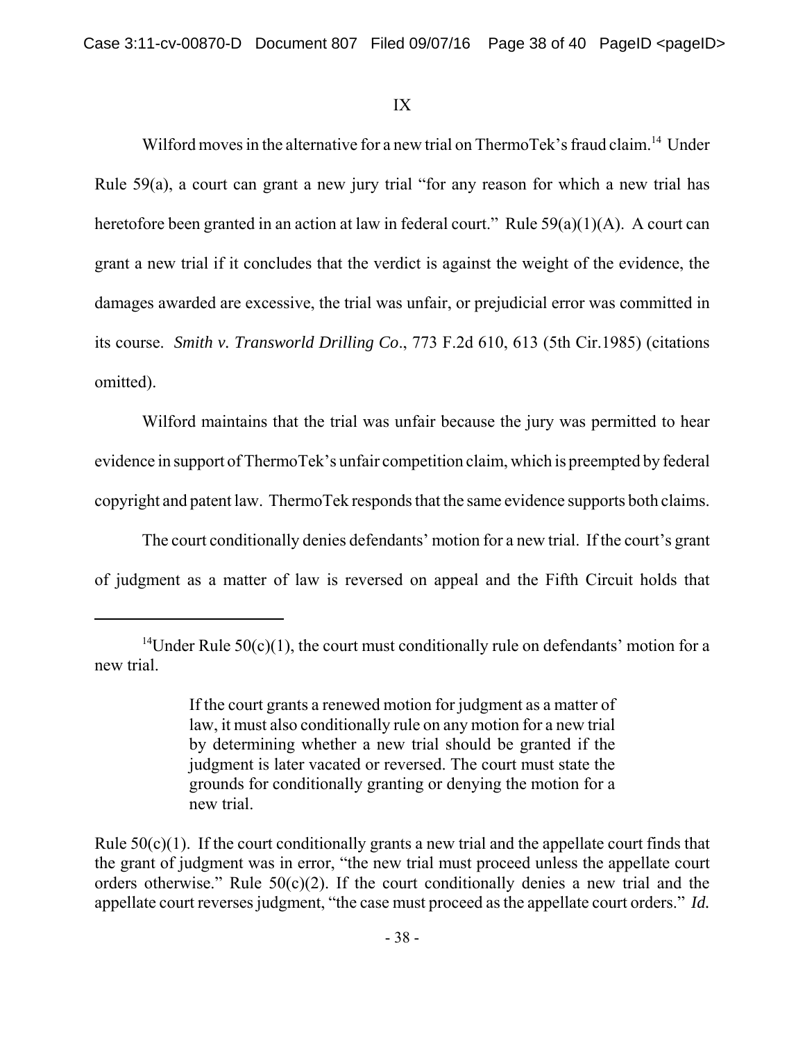## IX

Wilford moves in the alternative for a new trial on ThermoTek's fraud claim.<sup>14</sup> Under Rule 59(a), a court can grant a new jury trial "for any reason for which a new trial has heretofore been granted in an action at law in federal court." Rule 59(a)(1)(A). A court can grant a new trial if it concludes that the verdict is against the weight of the evidence, the damages awarded are excessive, the trial was unfair, or prejudicial error was committed in its course. *Smith v. Transworld Drilling Co*., 773 F.2d 610, 613 (5th Cir.1985) (citations omitted).

Wilford maintains that the trial was unfair because the jury was permitted to hear evidence in support of ThermoTek's unfair competition claim, which is preempted by federal copyright and patent law. ThermoTek responds that the same evidence supports both claims.

The court conditionally denies defendants' motion for a new trial. If the court's grant of judgment as a matter of law is reversed on appeal and the Fifth Circuit holds that

<sup>&</sup>lt;sup>14</sup>Under Rule 50(c)(1), the court must conditionally rule on defendants' motion for a new trial.

If the court grants a renewed motion for judgment as a matter of law, it must also conditionally rule on any motion for a new trial by determining whether a new trial should be granted if the judgment is later vacated or reversed. The court must state the grounds for conditionally granting or denying the motion for a new trial.

Rule 50(c)(1). If the court conditionally grants a new trial and the appellate court finds that the grant of judgment was in error, "the new trial must proceed unless the appellate court orders otherwise." Rule  $50(c)(2)$ . If the court conditionally denies a new trial and the appellate court reverses judgment, "the case must proceed as the appellate court orders." *Id.*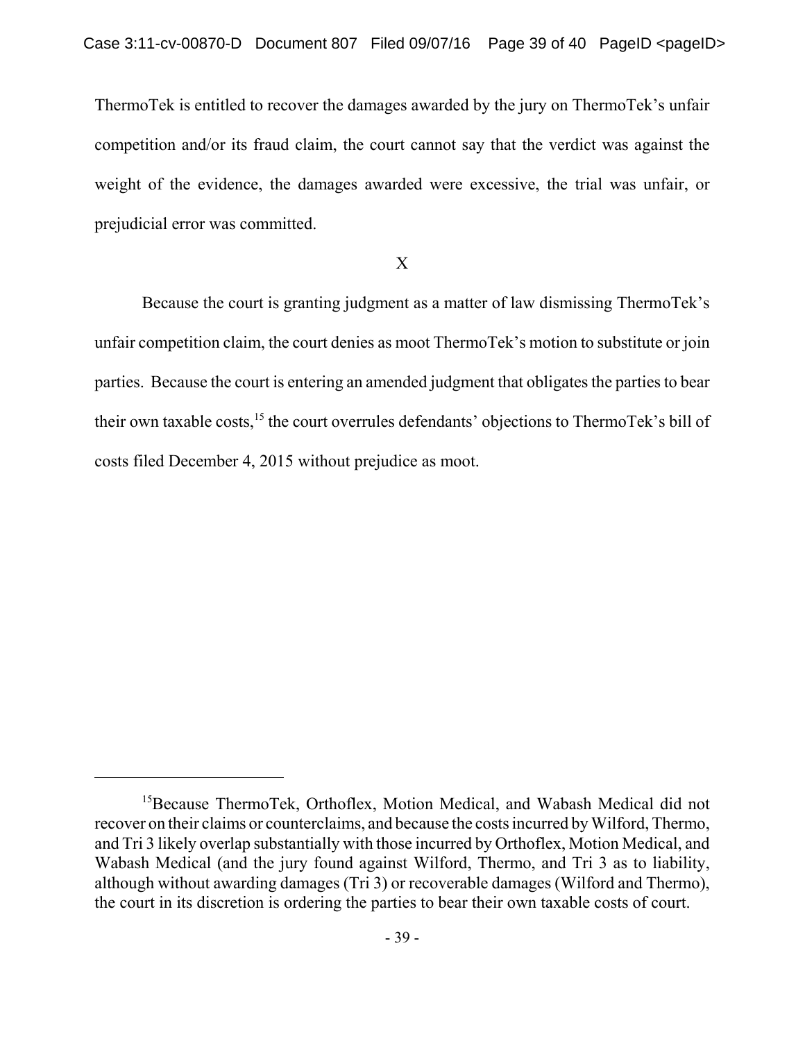ThermoTek is entitled to recover the damages awarded by the jury on ThermoTek's unfair competition and/or its fraud claim, the court cannot say that the verdict was against the weight of the evidence, the damages awarded were excessive, the trial was unfair, or prejudicial error was committed.

## X

Because the court is granting judgment as a matter of law dismissing ThermoTek's unfair competition claim, the court denies as moot ThermoTek's motion to substitute or join parties. Because the court is entering an amended judgment that obligates the parties to bear their own taxable costs,<sup>15</sup> the court overrules defendants' objections to ThermoTek's bill of costs filed December 4, 2015 without prejudice as moot.

<sup>&</sup>lt;sup>15</sup>Because ThermoTek, Orthoflex, Motion Medical, and Wabash Medical did not recover on their claims or counterclaims, and because the costs incurred by Wilford, Thermo, and Tri 3 likely overlap substantially with those incurred by Orthoflex, Motion Medical, and Wabash Medical (and the jury found against Wilford, Thermo, and Tri 3 as to liability, although without awarding damages (Tri 3) or recoverable damages (Wilford and Thermo), the court in its discretion is ordering the parties to bear their own taxable costs of court.